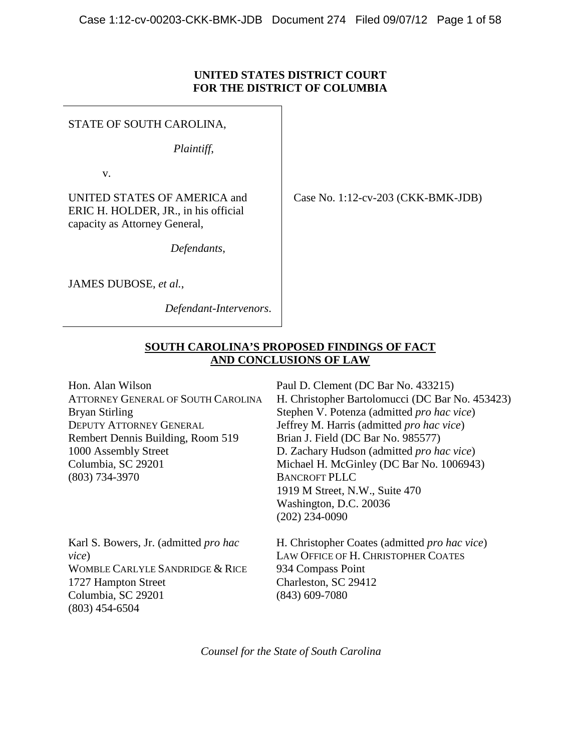# **UNITED STATES DISTRICT COURT FOR THE DISTRICT OF COLUMBIA**

STATE OF SOUTH CAROLINA,

*Plaintiff*,

v.

UNITED STATES OF AMERICA and ERIC H. HOLDER, JR., in his official capacity as Attorney General,

*Defendants*,

JAMES DUBOSE, *et al.*,

 *Defendant-Intervenors*.

Case No. 1:12-cv-203 (CKK-BMK-JDB)

# **SOUTH CAROLINA'S PROPOSED FINDINGS OF FACT AND CONCLUSIONS OF LAW**

Hon. Alan Wilson ATTORNEY GENERAL OF SOUTH CAROLINA Bryan Stirling DEPUTY ATTORNEY GENERAL Rembert Dennis Building, Room 519 1000 Assembly Street Columbia, SC 29201 (803) 734-3970

Paul D. Clement (DC Bar No. 433215) H. Christopher Bartolomucci (DC Bar No. 453423) Stephen V. Potenza (admitted *pro hac vice*) Jeffrey M. Harris (admitted *pro hac vice*) Brian J. Field (DC Bar No. 985577) D. Zachary Hudson (admitted *pro hac vice*) Michael H. McGinley (DC Bar No. 1006943) BANCROFT PLLC 1919 M Street, N.W., Suite 470 Washington, D.C. 20036 (202) 234-0090

Karl S. Bowers, Jr. (admitted *pro hac vice*) WOMBLE CARLYLE SANDRIDGE & RICE 1727 Hampton Street Columbia, SC 29201 (803) 454-6504

H. Christopher Coates (admitted *pro hac vice*) LAW OFFICE OF H. CHRISTOPHER COATES 934 Compass Point Charleston, SC 29412 (843) 609-7080

*Counsel for the State of South Carolina*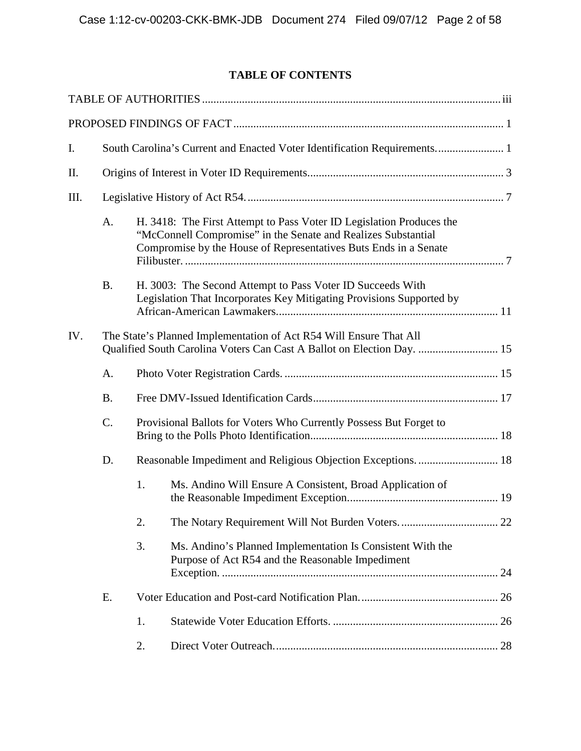# **TABLE OF CONTENTS**

| I.   |                                                                                                                                              | South Carolina's Current and Enacted Voter Identification Requirements 1                                                                                                                                  |                                                                                                                |  |  |  |  |
|------|----------------------------------------------------------------------------------------------------------------------------------------------|-----------------------------------------------------------------------------------------------------------------------------------------------------------------------------------------------------------|----------------------------------------------------------------------------------------------------------------|--|--|--|--|
| Π.   |                                                                                                                                              |                                                                                                                                                                                                           |                                                                                                                |  |  |  |  |
| III. |                                                                                                                                              |                                                                                                                                                                                                           |                                                                                                                |  |  |  |  |
|      | A.                                                                                                                                           | H. 3418: The First Attempt to Pass Voter ID Legislation Produces the<br>"McConnell Compromise" in the Senate and Realizes Substantial<br>Compromise by the House of Representatives Buts Ends in a Senate |                                                                                                                |  |  |  |  |
|      | <b>B.</b>                                                                                                                                    | H. 3003: The Second Attempt to Pass Voter ID Succeeds With<br>Legislation That Incorporates Key Mitigating Provisions Supported by                                                                        |                                                                                                                |  |  |  |  |
| IV.  | The State's Planned Implementation of Act R54 Will Ensure That All<br>Qualified South Carolina Voters Can Cast A Ballot on Election Day.  15 |                                                                                                                                                                                                           |                                                                                                                |  |  |  |  |
|      | A.                                                                                                                                           |                                                                                                                                                                                                           |                                                                                                                |  |  |  |  |
|      | <b>B.</b>                                                                                                                                    |                                                                                                                                                                                                           |                                                                                                                |  |  |  |  |
|      | C.                                                                                                                                           | Provisional Ballots for Voters Who Currently Possess But Forget to                                                                                                                                        |                                                                                                                |  |  |  |  |
|      | D.                                                                                                                                           |                                                                                                                                                                                                           | Reasonable Impediment and Religious Objection Exceptions.  18                                                  |  |  |  |  |
|      |                                                                                                                                              | 1.                                                                                                                                                                                                        | Ms. Andino Will Ensure A Consistent, Broad Application of                                                      |  |  |  |  |
|      |                                                                                                                                              | 2.                                                                                                                                                                                                        |                                                                                                                |  |  |  |  |
|      |                                                                                                                                              | 3.                                                                                                                                                                                                        | Ms. Andino's Planned Implementation Is Consistent With the<br>Purpose of Act R54 and the Reasonable Impediment |  |  |  |  |
|      | E.                                                                                                                                           |                                                                                                                                                                                                           |                                                                                                                |  |  |  |  |
|      |                                                                                                                                              | 1.                                                                                                                                                                                                        |                                                                                                                |  |  |  |  |
|      |                                                                                                                                              | 2.                                                                                                                                                                                                        |                                                                                                                |  |  |  |  |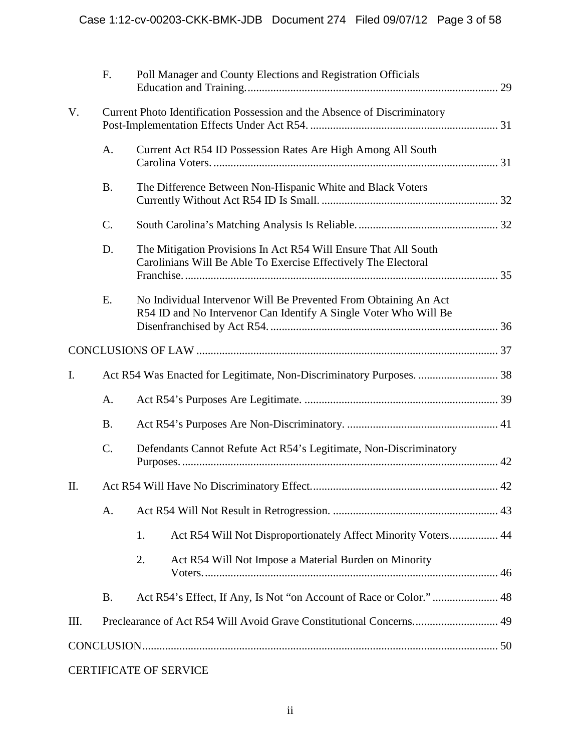|      | F.                                                                        |                                                                                                                                   | Poll Manager and County Elections and Registration Officials                                                                         |  |  |  |  |
|------|---------------------------------------------------------------------------|-----------------------------------------------------------------------------------------------------------------------------------|--------------------------------------------------------------------------------------------------------------------------------------|--|--|--|--|
| V.   | Current Photo Identification Possession and the Absence of Discriminatory |                                                                                                                                   |                                                                                                                                      |  |  |  |  |
|      | A.                                                                        | Current Act R54 ID Possession Rates Are High Among All South                                                                      |                                                                                                                                      |  |  |  |  |
|      | <b>B.</b>                                                                 | The Difference Between Non-Hispanic White and Black Voters                                                                        |                                                                                                                                      |  |  |  |  |
|      | $C$ .                                                                     |                                                                                                                                   |                                                                                                                                      |  |  |  |  |
|      | D.                                                                        | The Mitigation Provisions In Act R54 Will Ensure That All South<br>Carolinians Will Be Able To Exercise Effectively The Electoral |                                                                                                                                      |  |  |  |  |
|      | E.                                                                        |                                                                                                                                   | No Individual Intervenor Will Be Prevented From Obtaining An Act<br>R54 ID and No Intervenor Can Identify A Single Voter Who Will Be |  |  |  |  |
|      |                                                                           |                                                                                                                                   |                                                                                                                                      |  |  |  |  |
| I.   |                                                                           |                                                                                                                                   |                                                                                                                                      |  |  |  |  |
|      | A.                                                                        |                                                                                                                                   |                                                                                                                                      |  |  |  |  |
|      | <b>B.</b>                                                                 |                                                                                                                                   |                                                                                                                                      |  |  |  |  |
|      | $C$ .                                                                     | Defendants Cannot Refute Act R54's Legitimate, Non-Discriminatory                                                                 |                                                                                                                                      |  |  |  |  |
| II.  |                                                                           |                                                                                                                                   |                                                                                                                                      |  |  |  |  |
|      | A.                                                                        |                                                                                                                                   |                                                                                                                                      |  |  |  |  |
|      |                                                                           | 1.                                                                                                                                | Act R54 Will Not Disproportionately Affect Minority Voters 44                                                                        |  |  |  |  |
|      |                                                                           | 2.                                                                                                                                | Act R54 Will Not Impose a Material Burden on Minority                                                                                |  |  |  |  |
|      | <b>B.</b>                                                                 |                                                                                                                                   | Act R54's Effect, If Any, Is Not "on Account of Race or Color." 48                                                                   |  |  |  |  |
| III. |                                                                           | Preclearance of Act R54 Will Avoid Grave Constitutional Concerns 49                                                               |                                                                                                                                      |  |  |  |  |
|      |                                                                           |                                                                                                                                   |                                                                                                                                      |  |  |  |  |
|      |                                                                           |                                                                                                                                   | <b>CERTIFICATE OF SERVICE</b>                                                                                                        |  |  |  |  |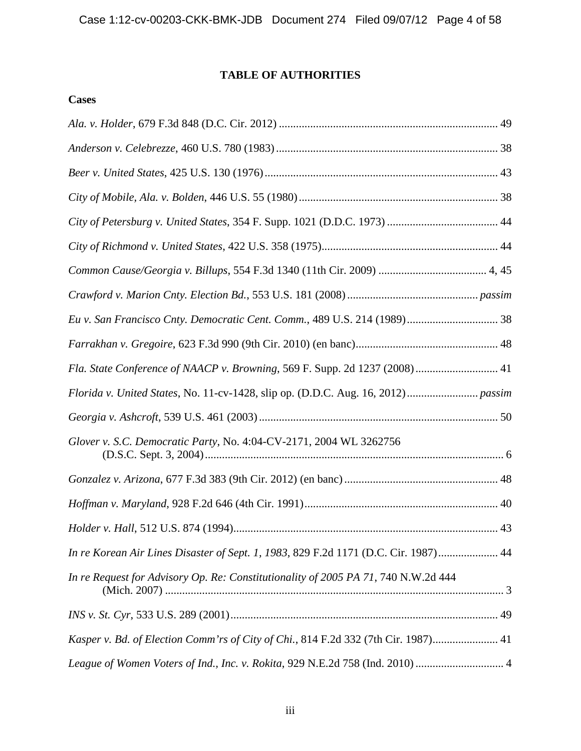# **TABLE OF AUTHORITIES**

# <span id="page-3-0"></span>**Cases**

| Fla. State Conference of NAACP v. Browning, 569 F. Supp. 2d 1237 (2008) 41          |
|-------------------------------------------------------------------------------------|
|                                                                                     |
|                                                                                     |
| Glover v. S.C. Democratic Party, No. 4:04-CV-2171, 2004 WL 3262756                  |
|                                                                                     |
|                                                                                     |
|                                                                                     |
|                                                                                     |
| In re Korean Air Lines Disaster of Sept. 1, 1983, 829 F.2d 1171 (D.C. Cir. 1987) 44 |
| In re Request for Advisory Op. Re: Constitutionality of 2005 PA 71, 740 N.W.2d 444  |
|                                                                                     |
| Kasper v. Bd. of Election Comm'rs of City of Chi., 814 F.2d 332 (7th Cir. 1987) 41  |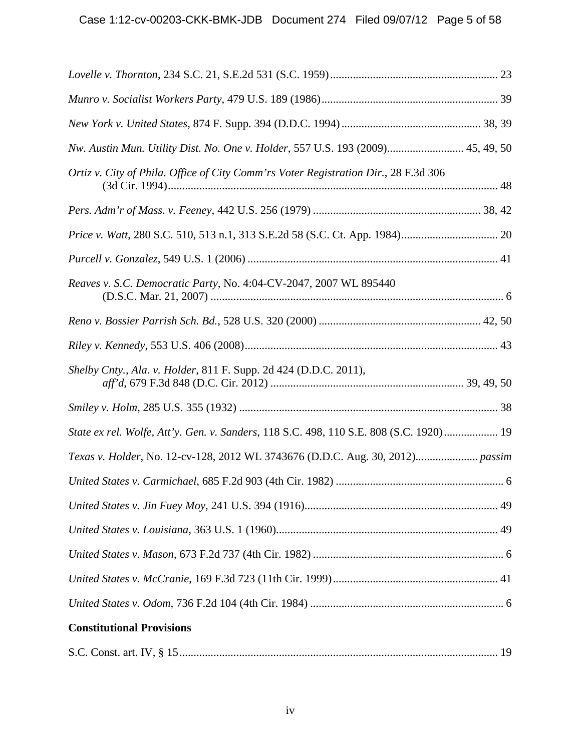| Nw. Austin Mun. Utility Dist. No. One v. Holder, 557 U.S. 193 (2009) 45, 49, 50        |  |
|----------------------------------------------------------------------------------------|--|
| Ortiz v. City of Phila. Office of City Comm'rs Voter Registration Dir., 28 F.3d 306    |  |
|                                                                                        |  |
|                                                                                        |  |
|                                                                                        |  |
| Reaves v. S.C. Democratic Party, No. 4:04-CV-2047, 2007 WL 895440                      |  |
|                                                                                        |  |
|                                                                                        |  |
| Shelby Cnty., Ala. v. Holder, 811 F. Supp. 2d 424 (D.D.C. 2011),                       |  |
|                                                                                        |  |
| State ex rel. Wolfe, Att'y. Gen. v. Sanders, 118 S.C. 498, 110 S.E. 808 (S.C. 1920) 19 |  |
| Texas v. Holder, No. 12-cv-128, 2012 WL 3743676 (D.D.C. Aug. 30, 2012) passim          |  |
|                                                                                        |  |
|                                                                                        |  |
|                                                                                        |  |
|                                                                                        |  |
|                                                                                        |  |
|                                                                                        |  |
| <b>Constitutional Provisions</b>                                                       |  |
|                                                                                        |  |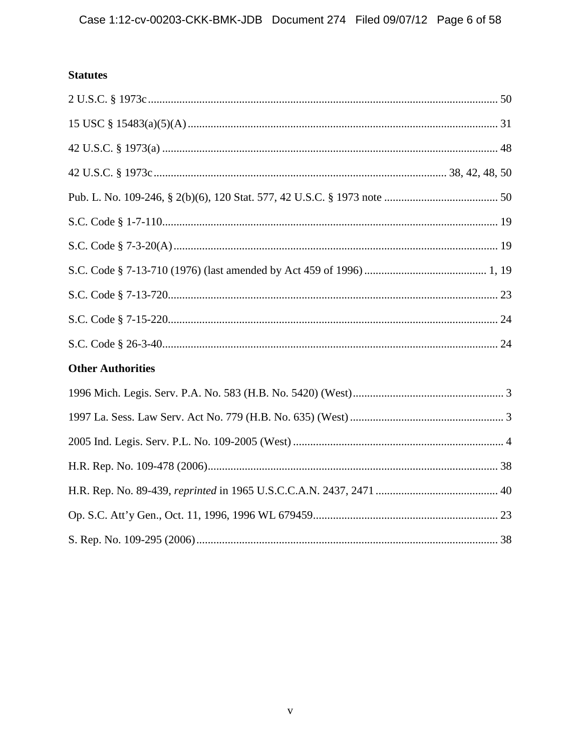# **Statutes**

| <b>Other Authorities</b> |  |
|--------------------------|--|
|                          |  |
|                          |  |
|                          |  |
|                          |  |
|                          |  |
|                          |  |
|                          |  |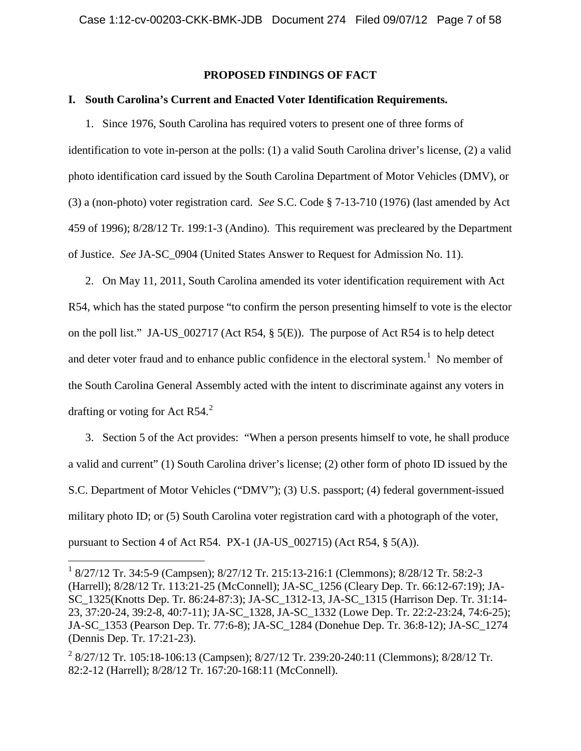# **PROPOSED FINDINGS OF FACT**

### <span id="page-6-1"></span><span id="page-6-0"></span>**I. South Carolina's Current and Enacted Voter Identification Requirements.**

1. Since 1976, South Carolina has required voters to present one of three forms of identification to vote in-person at the polls: (1) a valid South Carolina driver's license, (2) a valid photo identification card issued by the South Carolina Department of Motor Vehicles (DMV), or (3) a (non-photo) voter registration card. *See* S.C. Code § 7-13-710 (1976) (last amended by Act 459 of 1996); 8/28/12 Tr. 199:1-3 (Andino). This requirement was precleared by the Department of Justice. *See* JA-SC\_0904 (United States Answer to Request for Admission No. 11).

2. On May 11, 2011, South Carolina amended its voter identification requirement with Act R54, which has the stated purpose "to confirm the person presenting himself to vote is the elector on the poll list." JA-US\_002717 (Act R54, § 5(E)). The purpose of Act R54 is to help detect and deter voter fraud and to enhance public confidence in the electoral system.<sup>[1](#page-6-2)</sup> No member of the South Carolina General Assembly acted with the intent to discriminate against any voters in drafting or voting for Act R54. $^{2}$  $^{2}$  $^{2}$ 

3. Section 5 of the Act provides: "When a person presents himself to vote, he shall produce a valid and current" (1) South Carolina driver's license; (2) other form of photo ID issued by the S.C. Department of Motor Vehicles ("DMV"); (3) U.S. passport; (4) federal government-issued military photo ID; or (5) South Carolina voter registration card with a photograph of the voter, pursuant to Section 4 of Act R54. PX-1 (JA-US\_002715) (Act R54, § 5(A)).

<span id="page-6-2"></span> <sup>1</sup> 8/27/12 Tr. 34:5-9 (Campsen); 8/27/12 Tr. 215:13-216:1 (Clemmons); 8/28/12 Tr. 58:2-3 (Harrell); 8/28/12 Tr. 113:21-25 (McConnell); JA-SC\_1256 (Cleary Dep. Tr. 66:12-67:19); JA-SC\_1325(Knotts Dep. Tr. 86:24-87:3); JA-SC\_1312-13, JA-SC\_1315 (Harrison Dep. Tr. 31:14- 23, 37:20-24, 39:2-8, 40:7-11); JA-SC\_1328, JA-SC\_1332 (Lowe Dep. Tr. 22:2-23:24, 74:6-25); JA-SC\_1353 (Pearson Dep. Tr. 77:6-8); JA-SC\_1284 (Donehue Dep. Tr. 36:8-12); JA-SC\_1274 (Dennis Dep. Tr. 17:21-23).

<span id="page-6-3"></span><sup>&</sup>lt;sup>2</sup> 8/27/12 Tr. 105:18-106:13 (Campsen); 8/27/12 Tr. 239:20-240:11 (Clemmons); 8/28/12 Tr. 82:2-12 (Harrell); 8/28/12 Tr. 167:20-168:11 (McConnell).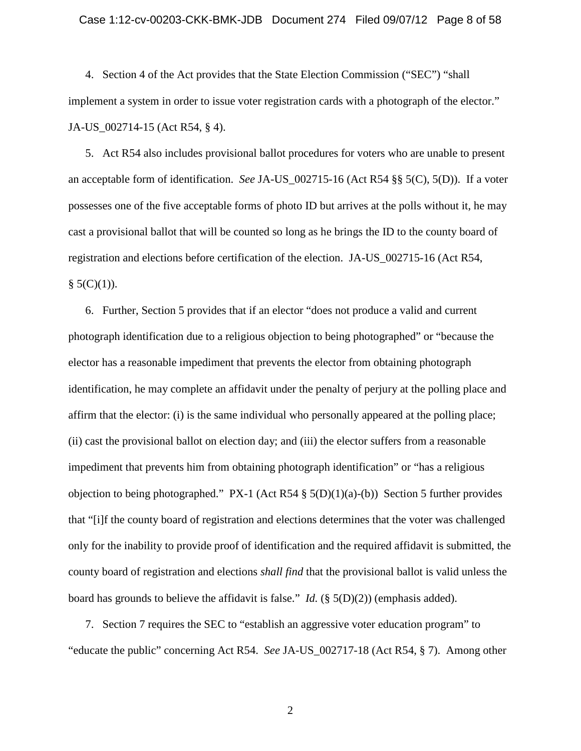### Case 1:12-cv-00203-CKK-BMK-JDB Document 274 Filed 09/07/12 Page 8 of 58

4. Section 4 of the Act provides that the State Election Commission ("SEC") "shall implement a system in order to issue voter registration cards with a photograph of the elector." JA-US\_002714-15 (Act R54, § 4).

5. Act R54 also includes provisional ballot procedures for voters who are unable to present an acceptable form of identification. *See* JA-US\_002715-16 (Act R54 §§ 5(C), 5(D)). If a voter possesses one of the five acceptable forms of photo ID but arrives at the polls without it, he may cast a provisional ballot that will be counted so long as he brings the ID to the county board of registration and elections before certification of the election. JA-US\_002715-16 (Act R54,  $§ 5(C)(1)).$ 

6. Further, Section 5 provides that if an elector "does not produce a valid and current photograph identification due to a religious objection to being photographed" or "because the elector has a reasonable impediment that prevents the elector from obtaining photograph identification, he may complete an affidavit under the penalty of perjury at the polling place and affirm that the elector: (i) is the same individual who personally appeared at the polling place; (ii) cast the provisional ballot on election day; and (iii) the elector suffers from a reasonable impediment that prevents him from obtaining photograph identification" or "has a religious objection to being photographed." PX-1 (Act R54  $\S$  5(D)(1)(a)-(b)) Section 5 further provides that "[i]f the county board of registration and elections determines that the voter was challenged only for the inability to provide proof of identification and the required affidavit is submitted, the county board of registration and elections *shall find* that the provisional ballot is valid unless the board has grounds to believe the affidavit is false." *Id.* (§ 5(D)(2)) (emphasis added).

7. Section 7 requires the SEC to "establish an aggressive voter education program" to "educate the public" concerning Act R54. *See* JA-US\_002717-18 (Act R54, § 7). Among other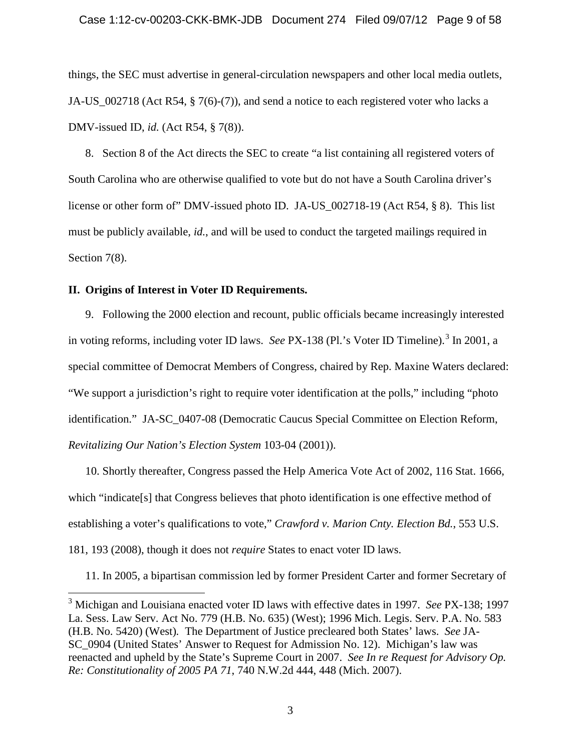things, the SEC must advertise in general-circulation newspapers and other local media outlets, JA-US  $002718$  (Act R54, § 7(6)-(7)), and send a notice to each registered voter who lacks a DMV-issued ID, *id.* (Act R54, § 7(8)).

8. Section 8 of the Act directs the SEC to create "a list containing all registered voters of South Carolina who are otherwise qualified to vote but do not have a South Carolina driver's license or other form of" DMV-issued photo ID. JA-US\_002718-19 (Act R54, § 8). This list must be publicly available, *id.*, and will be used to conduct the targeted mailings required in Section 7(8).

# <span id="page-8-0"></span>**II. Origins of Interest in Voter ID Requirements.**

9. Following the 2000 election and recount, public officials became increasingly interested in voting reforms, including voter ID laws. *See* PX-138 (Pl.'s Voter ID Timeline). [3](#page-8-1) In 2001, a special committee of Democrat Members of Congress, chaired by Rep. Maxine Waters declared: "We support a jurisdiction's right to require voter identification at the polls," including "photo identification." JA-SC\_0407-08 (Democratic Caucus Special Committee on Election Reform, *Revitalizing Our Nation's Election System* 103-04 (2001)).

10. Shortly thereafter, Congress passed the Help America Vote Act of 2002, 116 Stat. 1666, which "indicate[s] that Congress believes that photo identification is one effective method of establishing a voter's qualifications to vote," *Crawford v. Marion Cnty. Election Bd.*, 553 U.S. 181, 193 (2008), though it does not *require* States to enact voter ID laws.

11. In 2005, a bipartisan commission led by former President Carter and former Secretary of

<span id="page-8-1"></span> <sup>3</sup> Michigan and Louisiana enacted voter ID laws with effective dates in 1997. *See* PX-138; 1997 La. Sess. Law Serv. Act No. 779 (H.B. No. 635) (West); 1996 Mich. Legis. Serv. P.A. No. 583 (H.B. No. 5420) (West)*.* The Department of Justice precleared both States' laws. *See* JA-SC\_0904 (United States' Answer to Request for Admission No. 12). Michigan's law was reenacted and upheld by the State's Supreme Court in 2007. *See In re Request for Advisory Op. Re: Constitutionality of 2005 PA 71*, 740 N.W.2d 444, 448 (Mich. 2007).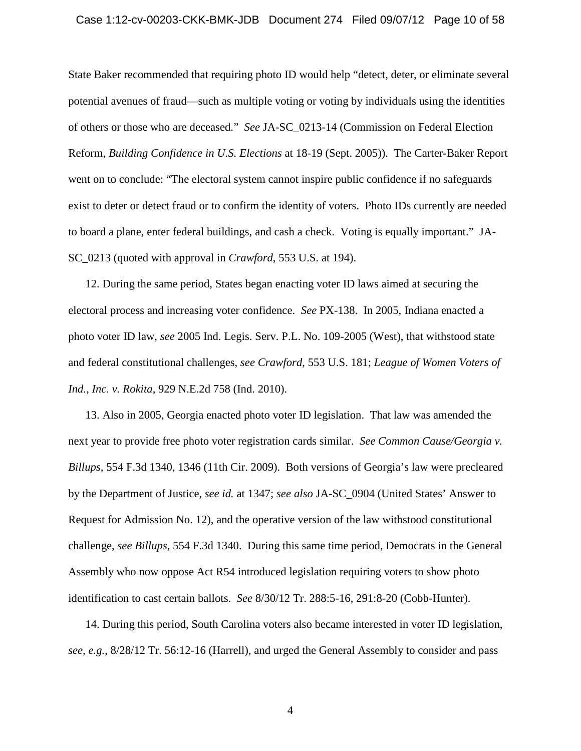### Case 1:12-cv-00203-CKK-BMK-JDB Document 274 Filed 09/07/12 Page 10 of 58

State Baker recommended that requiring photo ID would help "detect, deter, or eliminate several potential avenues of fraud—such as multiple voting or voting by individuals using the identities of others or those who are deceased." *See* JA-SC\_0213-14 (Commission on Federal Election Reform, *Building Confidence in U.S. Elections* at 18-19 (Sept. 2005)). The Carter-Baker Report went on to conclude: "The electoral system cannot inspire public confidence if no safeguards exist to deter or detect fraud or to confirm the identity of voters. Photo IDs currently are needed to board a plane, enter federal buildings, and cash a check. Voting is equally important." JA-SC\_0213 (quoted with approval in *Crawford*, 553 U.S. at 194).

12. During the same period, States began enacting voter ID laws aimed at securing the electoral process and increasing voter confidence. *See* PX-138. In 2005, Indiana enacted a photo voter ID law, *see* 2005 Ind. Legis. Serv. P.L. No. 109-2005 (West), that withstood state and federal constitutional challenges, *see Crawford*, 553 U.S. 181; *League of Women Voters of Ind., Inc. v. Rokita*, 929 N.E.2d 758 (Ind. 2010).

13. Also in 2005, Georgia enacted photo voter ID legislation. That law was amended the next year to provide free photo voter registration cards similar. *See Common Cause/Georgia v. Billups*, 554 F.3d 1340, 1346 (11th Cir. 2009). Both versions of Georgia's law were precleared by the Department of Justice, *see id.* at 1347; *see also* JA-SC\_0904 (United States' Answer to Request for Admission No. 12), and the operative version of the law withstood constitutional challenge, *see Billups*, 554 F.3d 1340. During this same time period, Democrats in the General Assembly who now oppose Act R54 introduced legislation requiring voters to show photo identification to cast certain ballots. *See* 8/30/12 Tr. 288:5-16, 291:8-20 (Cobb-Hunter).

14. During this period, South Carolina voters also became interested in voter ID legislation, *see, e.g.*, 8/28/12 Tr. 56:12-16 (Harrell), and urged the General Assembly to consider and pass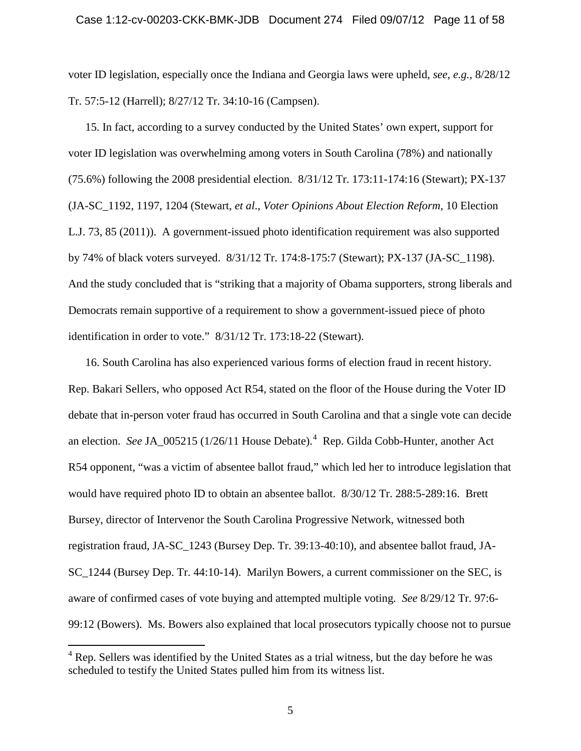voter ID legislation, especially once the Indiana and Georgia laws were upheld, *see, e.g.*, 8/28/12 Tr. 57:5-12 (Harrell); 8/27/12 Tr. 34:10-16 (Campsen).

15. In fact, according to a survey conducted by the United States' own expert, support for voter ID legislation was overwhelming among voters in South Carolina (78%) and nationally (75.6%) following the 2008 presidential election. 8/31/12 Tr. 173:11-174:16 (Stewart); PX-137 (JA-SC\_1192, 1197, 1204 (Stewart, *et al*., *Voter Opinions About Election Reform*, 10 Election L.J. 73, 85 (2011)). A government-issued photo identification requirement was also supported by 74% of black voters surveyed. 8/31/12 Tr. 174:8-175:7 (Stewart); PX-137 (JA-SC\_1198). And the study concluded that is "striking that a majority of Obama supporters, strong liberals and Democrats remain supportive of a requirement to show a government-issued piece of photo identification in order to vote." 8/31/12 Tr. 173:18-22 (Stewart).

16. South Carolina has also experienced various forms of election fraud in recent history. Rep. Bakari Sellers, who opposed Act R54, stated on the floor of the House during the Voter ID debate that in-person voter fraud has occurred in South Carolina and that a single vote can decide an election. *See* JA\_005215 (1/26/11 House Debate).<sup>[4](#page-10-0)</sup> Rep. Gilda Cobb-Hunter, another Act R54 opponent, "was a victim of absentee ballot fraud," which led her to introduce legislation that would have required photo ID to obtain an absentee ballot. 8/30/12 Tr. 288:5-289:16. Brett Bursey, director of Intervenor the South Carolina Progressive Network, witnessed both registration fraud, JA-SC\_1243 (Bursey Dep. Tr. 39:13-40:10), and absentee ballot fraud, JA-SC\_1244 (Bursey Dep. Tr. 44:10-14). Marilyn Bowers, a current commissioner on the SEC, is aware of confirmed cases of vote buying and attempted multiple voting. *See* 8/29/12 Tr. 97:6- 99:12 (Bowers). Ms. Bowers also explained that local prosecutors typically choose not to pursue

<span id="page-10-0"></span><sup>&</sup>lt;sup>4</sup> Rep. Sellers was identified by the United States as a trial witness, but the day before he was scheduled to testify the United States pulled him from its witness list.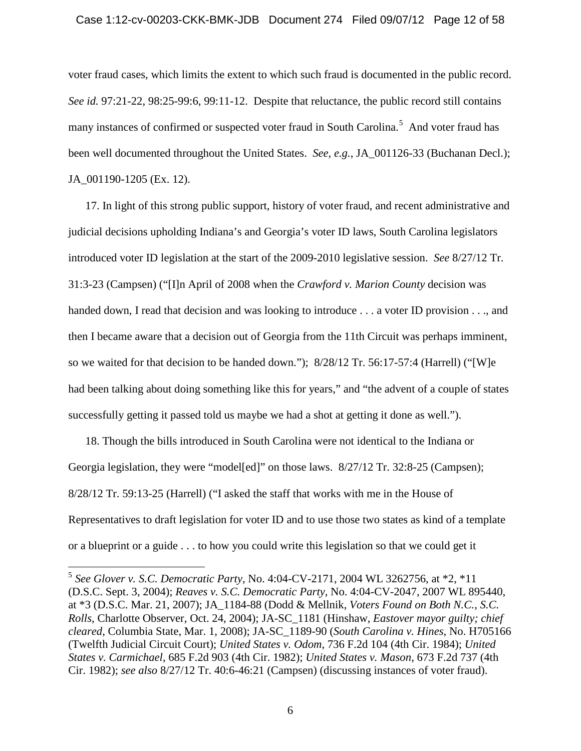### Case 1:12-cv-00203-CKK-BMK-JDB Document 274 Filed 09/07/12 Page 12 of 58

voter fraud cases, which limits the extent to which such fraud is documented in the public record. *See id.* 97:21-22, 98:25-99:6, 99:11-12. Despite that reluctance, the public record still contains many instances of confirmed or suspected voter fraud in South Carolina.<sup>[5](#page-11-0)</sup> And voter fraud has been well documented throughout the United States. *See, e.g.*, JA\_001126-33 (Buchanan Decl.); JA\_001190-1205 (Ex. 12).

17. In light of this strong public support, history of voter fraud, and recent administrative and judicial decisions upholding Indiana's and Georgia's voter ID laws, South Carolina legislators introduced voter ID legislation at the start of the 2009-2010 legislative session. *See* 8/27/12 Tr. 31:3-23 (Campsen) ("[I]n April of 2008 when the *Crawford v. Marion County* decision was handed down, I read that decision and was looking to introduce . . . a voter ID provision . . ., and then I became aware that a decision out of Georgia from the 11th Circuit was perhaps imminent, so we waited for that decision to be handed down."); 8/28/12 Tr. 56:17-57:4 (Harrell) ("[W]e had been talking about doing something like this for years," and "the advent of a couple of states successfully getting it passed told us maybe we had a shot at getting it done as well.").

18. Though the bills introduced in South Carolina were not identical to the Indiana or Georgia legislation, they were "model[ed]" on those laws. 8/27/12 Tr. 32:8-25 (Campsen); 8/28/12 Tr. 59:13-25 (Harrell) ("I asked the staff that works with me in the House of Representatives to draft legislation for voter ID and to use those two states as kind of a template or a blueprint or a guide . . . to how you could write this legislation so that we could get it

<span id="page-11-0"></span> <sup>5</sup> *See Glover v. S.C. Democratic Party*, No. 4:04-CV-2171, 2004 WL 3262756, at \*2, \*11 (D.S.C. Sept. 3, 2004); *Reaves v. S.C. Democratic Party*, No. 4:04-CV-2047, 2007 WL 895440, at \*3 (D.S.C. Mar. 21, 2007); JA\_1184-88 (Dodd & Mellnik, *Voters Found on Both N.C., S.C. Rolls*, Charlotte Observer, Oct. 24, 2004); JA-SC\_1181 (Hinshaw, *Eastover mayor guilty; chief cleared*, Columbia State, Mar. 1, 2008); JA-SC\_1189-90 (*South Carolina v. Hines*, No. H705166 (Twelfth Judicial Circuit Court); *United States v. Odom*, 736 F.2d 104 (4th Cir. 1984); *United States v. Carmichael*, 685 F.2d 903 (4th Cir. 1982); *United States v. Mason*, 673 F.2d 737 (4th Cir. 1982); *see also* 8/27/12 Tr. 40:6-46:21 (Campsen) (discussing instances of voter fraud).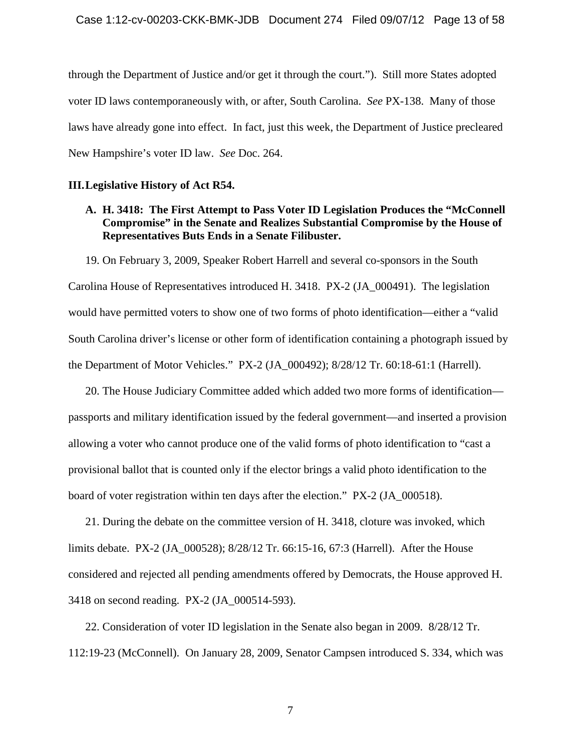through the Department of Justice and/or get it through the court."). Still more States adopted voter ID laws contemporaneously with, or after, South Carolina. *See* PX-138. Many of those laws have already gone into effect. In fact, just this week, the Department of Justice precleared New Hampshire's voter ID law. *See* Doc. 264.

## <span id="page-12-0"></span>**III.Legislative History of Act R54.**

# <span id="page-12-1"></span>**A. H. 3418: The First Attempt to Pass Voter ID Legislation Produces the "McConnell Compromise" in the Senate and Realizes Substantial Compromise by the House of Representatives Buts Ends in a Senate Filibuster.**

19. On February 3, 2009, Speaker Robert Harrell and several co-sponsors in the South Carolina House of Representatives introduced H. 3418. PX-2 (JA\_000491). The legislation would have permitted voters to show one of two forms of photo identification—either a "valid South Carolina driver's license or other form of identification containing a photograph issued by the Department of Motor Vehicles." PX-2 (JA\_000492); 8/28/12 Tr. 60:18-61:1 (Harrell).

20. The House Judiciary Committee added which added two more forms of identification passports and military identification issued by the federal government—and inserted a provision allowing a voter who cannot produce one of the valid forms of photo identification to "cast a provisional ballot that is counted only if the elector brings a valid photo identification to the board of voter registration within ten days after the election." PX-2 (JA\_000518).

21. During the debate on the committee version of H. 3418, cloture was invoked, which limits debate. PX-2 (JA\_000528); 8/28/12 Tr. 66:15-16, 67:3 (Harrell). After the House considered and rejected all pending amendments offered by Democrats, the House approved H. 3418 on second reading. PX-2 (JA\_000514-593).

22. Consideration of voter ID legislation in the Senate also began in 2009. 8/28/12 Tr. 112:19-23 (McConnell). On January 28, 2009, Senator Campsen introduced S. 334, which was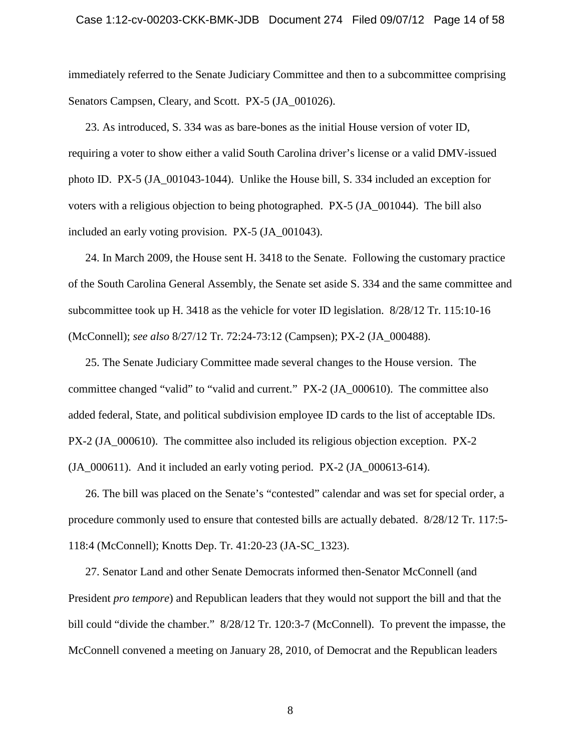#### Case 1:12-cv-00203-CKK-BMK-JDB Document 274 Filed 09/07/12 Page 14 of 58

immediately referred to the Senate Judiciary Committee and then to a subcommittee comprising Senators Campsen, Cleary, and Scott. PX-5 (JA 001026).

23. As introduced, S. 334 was as bare-bones as the initial House version of voter ID, requiring a voter to show either a valid South Carolina driver's license or a valid DMV-issued photo ID. PX-5 (JA\_001043-1044). Unlike the House bill, S. 334 included an exception for voters with a religious objection to being photographed. PX-5 (JA\_001044). The bill also included an early voting provision. PX-5 (JA\_001043).

24. In March 2009, the House sent H. 3418 to the Senate. Following the customary practice of the South Carolina General Assembly, the Senate set aside S. 334 and the same committee and subcommittee took up H. 3418 as the vehicle for voter ID legislation. 8/28/12 Tr. 115:10-16 (McConnell); *see also* 8/27/12 Tr. 72:24-73:12 (Campsen); PX-2 (JA\_000488).

25. The Senate Judiciary Committee made several changes to the House version. The committee changed "valid" to "valid and current." PX-2 (JA\_000610). The committee also added federal, State, and political subdivision employee ID cards to the list of acceptable IDs. PX-2 (JA\_000610). The committee also included its religious objection exception. PX-2  $(JA_000611)$ . And it included an early voting period. PX-2  $(JA_000613-614)$ .

26. The bill was placed on the Senate's "contested" calendar and was set for special order, a procedure commonly used to ensure that contested bills are actually debated. 8/28/12 Tr. 117:5- 118:4 (McConnell); Knotts Dep. Tr. 41:20-23 (JA-SC\_1323).

27. Senator Land and other Senate Democrats informed then-Senator McConnell (and President *pro tempore*) and Republican leaders that they would not support the bill and that the bill could "divide the chamber." 8/28/12 Tr. 120:3-7 (McConnell). To prevent the impasse, the McConnell convened a meeting on January 28, 2010, of Democrat and the Republican leaders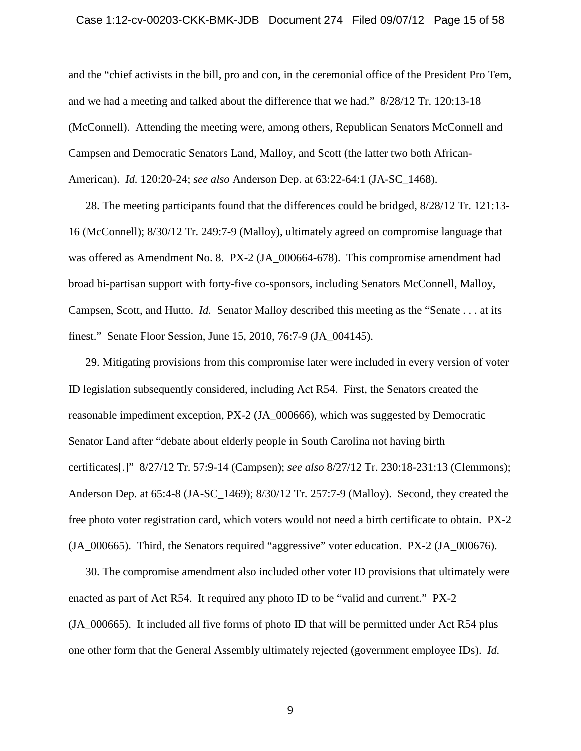#### Case 1:12-cv-00203-CKK-BMK-JDB Document 274 Filed 09/07/12 Page 15 of 58

and the "chief activists in the bill, pro and con, in the ceremonial office of the President Pro Tem, and we had a meeting and talked about the difference that we had." 8/28/12 Tr. 120:13-18 (McConnell). Attending the meeting were, among others, Republican Senators McConnell and Campsen and Democratic Senators Land, Malloy, and Scott (the latter two both African-American). *Id.* 120:20-24; *see also* Anderson Dep. at 63:22-64:1 (JA-SC\_1468).

28. The meeting participants found that the differences could be bridged, 8/28/12 Tr. 121:13- 16 (McConnell); 8/30/12 Tr. 249:7-9 (Malloy), ultimately agreed on compromise language that was offered as Amendment No. 8. PX-2 (JA 000664-678). This compromise amendment had broad bi-partisan support with forty-five co-sponsors, including Senators McConnell, Malloy, Campsen, Scott, and Hutto. *Id.* Senator Malloy described this meeting as the "Senate . . . at its finest." Senate Floor Session, June 15, 2010, 76:7-9 (JA\_004145).

29. Mitigating provisions from this compromise later were included in every version of voter ID legislation subsequently considered, including Act R54. First, the Senators created the reasonable impediment exception, PX-2 (JA\_000666), which was suggested by Democratic Senator Land after "debate about elderly people in South Carolina not having birth certificates[.]" 8/27/12 Tr. 57:9-14 (Campsen); *see also* 8/27/12 Tr. 230:18-231:13 (Clemmons); Anderson Dep. at 65:4-8 (JA-SC\_1469); 8/30/12 Tr. 257:7-9 (Malloy). Second, they created the free photo voter registration card, which voters would not need a birth certificate to obtain. PX-2 (JA\_000665). Third, the Senators required "aggressive" voter education. PX-2 (JA\_000676).

30. The compromise amendment also included other voter ID provisions that ultimately were enacted as part of Act R54. It required any photo ID to be "valid and current." PX-2 (JA\_000665). It included all five forms of photo ID that will be permitted under Act R54 plus one other form that the General Assembly ultimately rejected (government employee IDs). *Id.*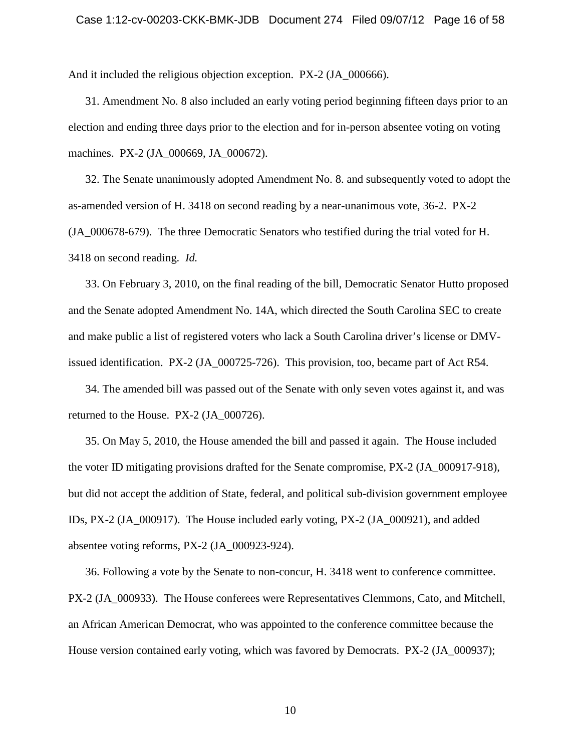#### Case 1:12-cv-00203-CKK-BMK-JDB Document 274 Filed 09/07/12 Page 16 of 58

And it included the religious objection exception. PX-2 (JA 000666).

31. Amendment No. 8 also included an early voting period beginning fifteen days prior to an election and ending three days prior to the election and for in-person absentee voting on voting machines. PX-2 (JA\_000669, JA\_000672).

32. The Senate unanimously adopted Amendment No. 8. and subsequently voted to adopt the as-amended version of H. 3418 on second reading by a near-unanimous vote, 36-2. PX-2 (JA\_000678-679). The three Democratic Senators who testified during the trial voted for H. 3418 on second reading. *Id.*

33. On February 3, 2010, on the final reading of the bill, Democratic Senator Hutto proposed and the Senate adopted Amendment No. 14A, which directed the South Carolina SEC to create and make public a list of registered voters who lack a South Carolina driver's license or DMVissued identification. PX-2 (JA\_000725-726). This provision, too, became part of Act R54.

34. The amended bill was passed out of the Senate with only seven votes against it, and was returned to the House. PX-2 (JA\_000726).

35. On May 5, 2010, the House amended the bill and passed it again. The House included the voter ID mitigating provisions drafted for the Senate compromise, PX-2 (JA\_000917-918), but did not accept the addition of State, federal, and political sub-division government employee IDs, PX-2 (JA\_000917). The House included early voting, PX-2 (JA\_000921), and added absentee voting reforms, PX-2 (JA\_000923-924).

36. Following a vote by the Senate to non-concur, H. 3418 went to conference committee. PX-2 (JA\_000933). The House conferees were Representatives Clemmons, Cato, and Mitchell, an African American Democrat, who was appointed to the conference committee because the House version contained early voting, which was favored by Democrats. PX-2 (JA\_000937);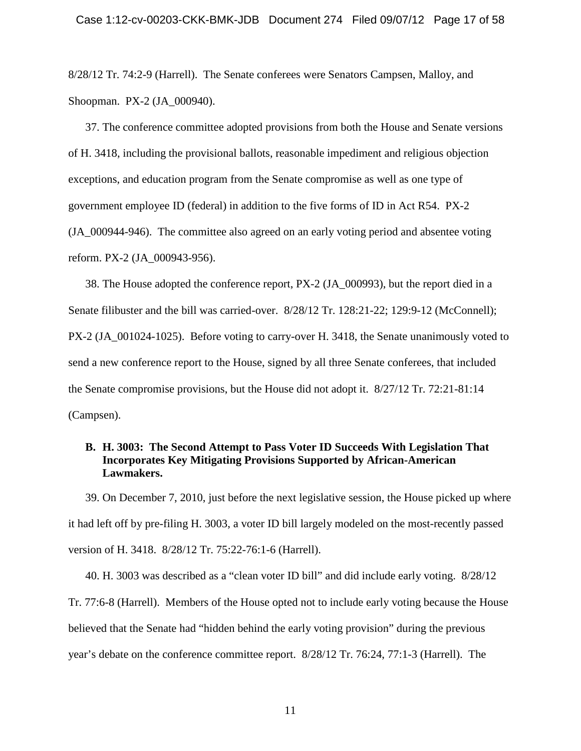8/28/12 Tr. 74:2-9 (Harrell). The Senate conferees were Senators Campsen, Malloy, and Shoopman. PX-2 (JA\_000940).

37. The conference committee adopted provisions from both the House and Senate versions of H. 3418, including the provisional ballots, reasonable impediment and religious objection exceptions, and education program from the Senate compromise as well as one type of government employee ID (federal) in addition to the five forms of ID in Act R54. PX-2 (JA\_000944-946). The committee also agreed on an early voting period and absentee voting reform. PX-2 (JA\_000943-956).

38. The House adopted the conference report, PX-2 (JA\_000993), but the report died in a Senate filibuster and the bill was carried-over. 8/28/12 Tr. 128:21-22; 129:9-12 (McConnell); PX-2 (JA\_001024-1025). Before voting to carry-over H. 3418, the Senate unanimously voted to send a new conference report to the House, signed by all three Senate conferees, that included the Senate compromise provisions, but the House did not adopt it. 8/27/12 Tr. 72:21-81:14 (Campsen).

# <span id="page-16-0"></span>**B. H. 3003: The Second Attempt to Pass Voter ID Succeeds With Legislation That Incorporates Key Mitigating Provisions Supported by African-American Lawmakers.**

39. On December 7, 2010, just before the next legislative session, the House picked up where it had left off by pre-filing H. 3003, a voter ID bill largely modeled on the most-recently passed version of H. 3418. 8/28/12 Tr. 75:22-76:1-6 (Harrell).

40. H. 3003 was described as a "clean voter ID bill" and did include early voting. 8/28/12 Tr. 77:6-8 (Harrell). Members of the House opted not to include early voting because the House believed that the Senate had "hidden behind the early voting provision" during the previous year's debate on the conference committee report. 8/28/12 Tr. 76:24, 77:1-3 (Harrell). The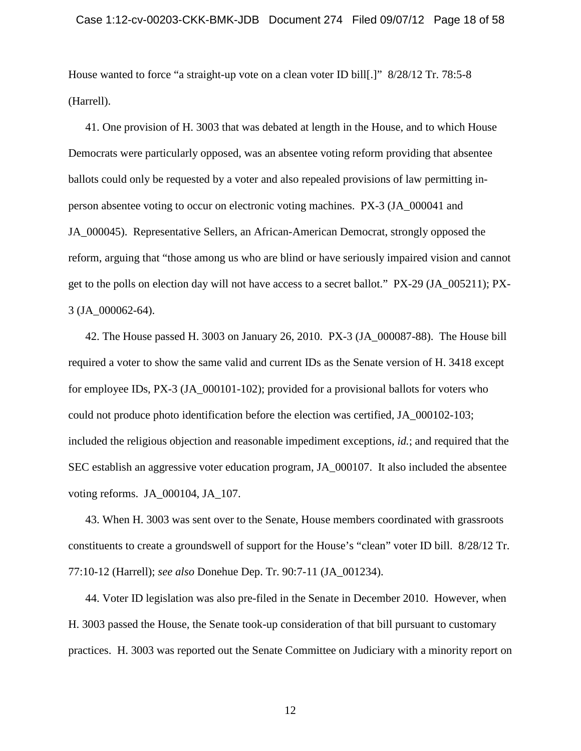House wanted to force "a straight-up vote on a clean voter ID bill[.]" 8/28/12 Tr. 78:5-8 (Harrell).

41. One provision of H. 3003 that was debated at length in the House, and to which House Democrats were particularly opposed, was an absentee voting reform providing that absentee ballots could only be requested by a voter and also repealed provisions of law permitting inperson absentee voting to occur on electronic voting machines. PX-3 (JA\_000041 and JA\_000045). Representative Sellers, an African-American Democrat, strongly opposed the reform, arguing that "those among us who are blind or have seriously impaired vision and cannot get to the polls on election day will not have access to a secret ballot." PX-29 (JA\_005211); PX-3 (JA\_000062-64).

42. The House passed H. 3003 on January 26, 2010. PX-3 (JA\_000087-88). The House bill required a voter to show the same valid and current IDs as the Senate version of H. 3418 except for employee IDs, PX-3 (JA\_000101-102); provided for a provisional ballots for voters who could not produce photo identification before the election was certified, JA\_000102-103; included the religious objection and reasonable impediment exceptions, *id.*; and required that the SEC establish an aggressive voter education program, JA\_000107. It also included the absentee voting reforms. JA\_000104, JA\_107.

43. When H. 3003 was sent over to the Senate, House members coordinated with grassroots constituents to create a groundswell of support for the House's "clean" voter ID bill. 8/28/12 Tr. 77:10-12 (Harrell); *see also* Donehue Dep. Tr. 90:7-11 (JA\_001234).

44. Voter ID legislation was also pre-filed in the Senate in December 2010. However, when H. 3003 passed the House, the Senate took-up consideration of that bill pursuant to customary practices. H. 3003 was reported out the Senate Committee on Judiciary with a minority report on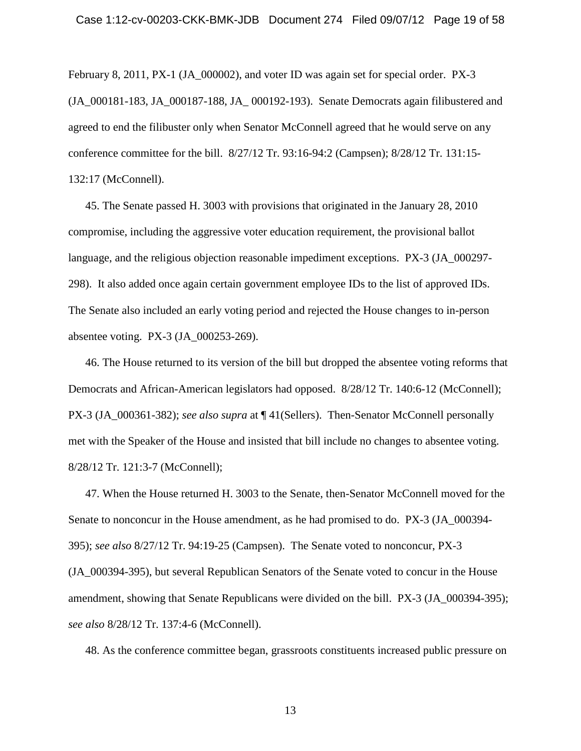February 8, 2011, PX-1 (JA 000002), and voter ID was again set for special order. PX-3 (JA\_000181-183, JA\_000187-188, JA\_ 000192-193). Senate Democrats again filibustered and agreed to end the filibuster only when Senator McConnell agreed that he would serve on any conference committee for the bill. 8/27/12 Tr. 93:16-94:2 (Campsen); 8/28/12 Tr. 131:15- 132:17 (McConnell).

45. The Senate passed H. 3003 with provisions that originated in the January 28, 2010 compromise, including the aggressive voter education requirement, the provisional ballot language, and the religious objection reasonable impediment exceptions. PX-3 (JA 000297-298). It also added once again certain government employee IDs to the list of approved IDs. The Senate also included an early voting period and rejected the House changes to in-person absentee voting. PX-3 (JA\_000253-269).

46. The House returned to its version of the bill but dropped the absentee voting reforms that Democrats and African-American legislators had opposed. 8/28/12 Tr. 140:6-12 (McConnell); PX-3 (JA\_000361-382); *see also supra* at ¶ 41(Sellers). Then-Senator McConnell personally met with the Speaker of the House and insisted that bill include no changes to absentee voting. 8/28/12 Tr. 121:3-7 (McConnell);

47. When the House returned H. 3003 to the Senate, then-Senator McConnell moved for the Senate to nonconcur in the House amendment, as he had promised to do. PX-3 (JA\_000394- 395); *see also* 8/27/12 Tr. 94:19-25 (Campsen). The Senate voted to nonconcur, PX-3 (JA\_000394-395), but several Republican Senators of the Senate voted to concur in the House amendment, showing that Senate Republicans were divided on the bill. PX-3 (JA\_000394-395); *see also* 8/28/12 Tr. 137:4-6 (McConnell).

48. As the conference committee began, grassroots constituents increased public pressure on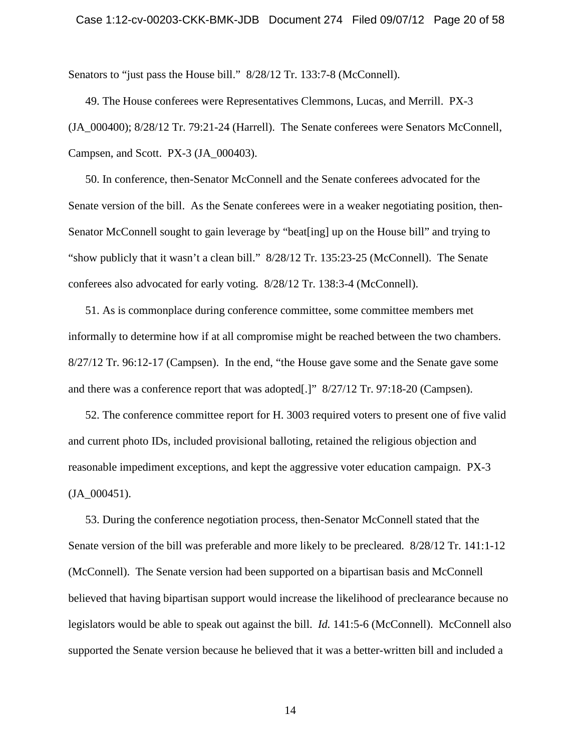### Case 1:12-cv-00203-CKK-BMK-JDB Document 274 Filed 09/07/12 Page 20 of 58

Senators to "just pass the House bill."  $8/28/12$  Tr. 133:7-8 (McConnell).

49. The House conferees were Representatives Clemmons, Lucas, and Merrill. PX-3 (JA\_000400); 8/28/12 Tr. 79:21-24 (Harrell). The Senate conferees were Senators McConnell, Campsen, and Scott. PX-3 (JA\_000403).

50. In conference, then-Senator McConnell and the Senate conferees advocated for the Senate version of the bill. As the Senate conferees were in a weaker negotiating position, then-Senator McConnell sought to gain leverage by "beat[ing] up on the House bill" and trying to "show publicly that it wasn't a clean bill." 8/28/12 Tr. 135:23-25 (McConnell). The Senate conferees also advocated for early voting. 8/28/12 Tr. 138:3-4 (McConnell).

51. As is commonplace during conference committee, some committee members met informally to determine how if at all compromise might be reached between the two chambers. 8/27/12 Tr. 96:12-17 (Campsen). In the end, "the House gave some and the Senate gave some and there was a conference report that was adopted[.]" 8/27/12 Tr. 97:18-20 (Campsen).

52. The conference committee report for H. 3003 required voters to present one of five valid and current photo IDs, included provisional balloting, retained the religious objection and reasonable impediment exceptions, and kept the aggressive voter education campaign. PX-3  $(JA_000451)$ .

53. During the conference negotiation process, then-Senator McConnell stated that the Senate version of the bill was preferable and more likely to be precleared. 8/28/12 Tr. 141:1-12 (McConnell). The Senate version had been supported on a bipartisan basis and McConnell believed that having bipartisan support would increase the likelihood of preclearance because no legislators would be able to speak out against the bill. *Id.* 141:5-6 (McConnell). McConnell also supported the Senate version because he believed that it was a better-written bill and included a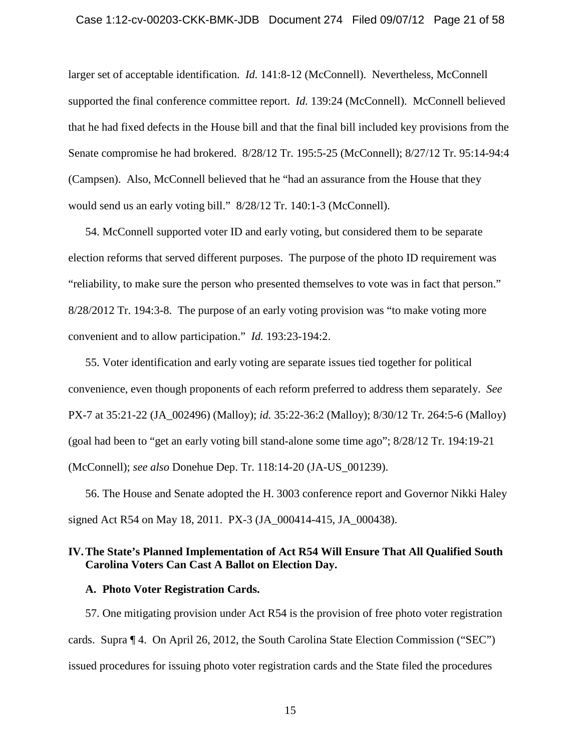### Case 1:12-cv-00203-CKK-BMK-JDB Document 274 Filed 09/07/12 Page 21 of 58

larger set of acceptable identification. *Id.* 141:8-12 (McConnell). Nevertheless, McConnell supported the final conference committee report. *Id.* 139:24 (McConnell). McConnell believed that he had fixed defects in the House bill and that the final bill included key provisions from the Senate compromise he had brokered. 8/28/12 Tr. 195:5-25 (McConnell); 8/27/12 Tr. 95:14-94:4 (Campsen). Also, McConnell believed that he "had an assurance from the House that they would send us an early voting bill." 8/28/12 Tr. 140:1-3 (McConnell).

54. McConnell supported voter ID and early voting, but considered them to be separate election reforms that served different purposes. The purpose of the photo ID requirement was "reliability, to make sure the person who presented themselves to vote was in fact that person." 8/28/2012 Tr. 194:3-8. The purpose of an early voting provision was "to make voting more convenient and to allow participation." *Id.* 193:23-194:2.

55. Voter identification and early voting are separate issues tied together for political convenience, even though proponents of each reform preferred to address them separately. *See* PX-7 at 35:21-22 (JA\_002496) (Malloy); *id.* 35:22-36:2 (Malloy); 8/30/12 Tr. 264:5-6 (Malloy) (goal had been to "get an early voting bill stand-alone some time ago"; 8/28/12 Tr. 194:19-21 (McConnell); *see also* Donehue Dep. Tr. 118:14-20 (JA-US\_001239).

56. The House and Senate adopted the H. 3003 conference report and Governor Nikki Haley signed Act R54 on May 18, 2011. PX-3 (JA\_000414-415, JA\_000438).

# <span id="page-20-0"></span>**IV.The State's Planned Implementation of Act R54 Will Ensure That All Qualified South Carolina Voters Can Cast A Ballot on Election Day.**

# <span id="page-20-1"></span>**A. Photo Voter Registration Cards.**

57. One mitigating provision under Act R54 is the provision of free photo voter registration cards. Supra ¶ 4. On April 26, 2012, the South Carolina State Election Commission ("SEC") issued procedures for issuing photo voter registration cards and the State filed the procedures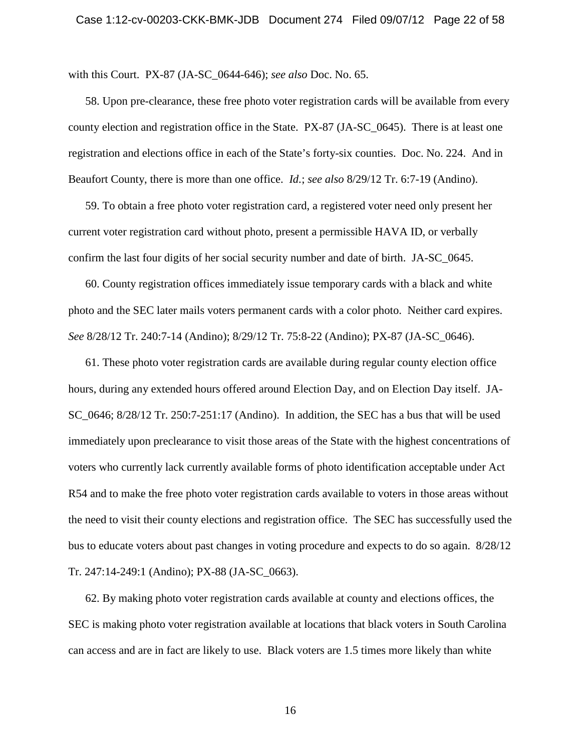with this Court. PX-87 (JA-SC\_0644-646); *see also* Doc. No. 65.

58. Upon pre-clearance, these free photo voter registration cards will be available from every county election and registration office in the State. PX-87 (JA-SC\_0645). There is at least one registration and elections office in each of the State's forty-six counties. Doc. No. 224. And in Beaufort County, there is more than one office. *Id.*; *see also* 8/29/12 Tr. 6:7-19 (Andino).

59. To obtain a free photo voter registration card, a registered voter need only present her current voter registration card without photo, present a permissible HAVA ID, or verbally confirm the last four digits of her social security number and date of birth. JA-SC\_0645.

60. County registration offices immediately issue temporary cards with a black and white photo and the SEC later mails voters permanent cards with a color photo. Neither card expires. *See* 8/28/12 Tr. 240:7-14 (Andino); 8/29/12 Tr. 75:8-22 (Andino); PX-87 (JA-SC\_0646).

61. These photo voter registration cards are available during regular county election office hours, during any extended hours offered around Election Day, and on Election Day itself. JA-SC\_0646; 8/28/12 Tr. 250:7-251:17 (Andino). In addition, the SEC has a bus that will be used immediately upon preclearance to visit those areas of the State with the highest concentrations of voters who currently lack currently available forms of photo identification acceptable under Act R54 and to make the free photo voter registration cards available to voters in those areas without the need to visit their county elections and registration office. The SEC has successfully used the bus to educate voters about past changes in voting procedure and expects to do so again. 8/28/12 Tr. 247:14-249:1 (Andino); PX-88 (JA-SC\_0663).

62. By making photo voter registration cards available at county and elections offices, the SEC is making photo voter registration available at locations that black voters in South Carolina can access and are in fact are likely to use. Black voters are 1.5 times more likely than white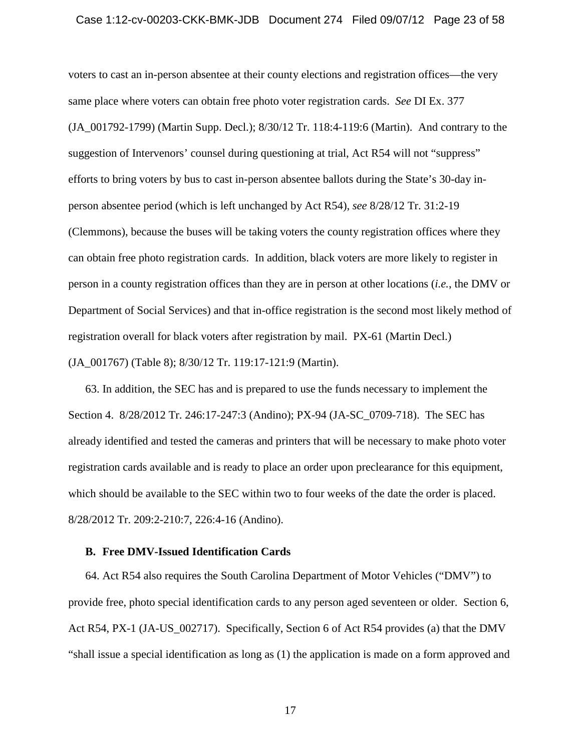### Case 1:12-cv-00203-CKK-BMK-JDB Document 274 Filed 09/07/12 Page 23 of 58

voters to cast an in-person absentee at their county elections and registration offices—the very same place where voters can obtain free photo voter registration cards. *See* DI Ex. 377 (JA\_001792-1799) (Martin Supp. Decl.); 8/30/12 Tr. 118:4-119:6 (Martin). And contrary to the suggestion of Intervenors' counsel during questioning at trial, Act R54 will not "suppress" efforts to bring voters by bus to cast in-person absentee ballots during the State's 30-day inperson absentee period (which is left unchanged by Act R54), *see* 8/28/12 Tr. 31:2-19 (Clemmons), because the buses will be taking voters the county registration offices where they can obtain free photo registration cards. In addition, black voters are more likely to register in person in a county registration offices than they are in person at other locations (*i.e.*, the DMV or Department of Social Services) and that in-office registration is the second most likely method of registration overall for black voters after registration by mail. PX-61 (Martin Decl.) (JA\_001767) (Table 8); 8/30/12 Tr. 119:17-121:9 (Martin).

63. In addition, the SEC has and is prepared to use the funds necessary to implement the Section 4. 8/28/2012 Tr. 246:17-247:3 (Andino); PX-94 (JA-SC\_0709-718). The SEC has already identified and tested the cameras and printers that will be necessary to make photo voter registration cards available and is ready to place an order upon preclearance for this equipment, which should be available to the SEC within two to four weeks of the date the order is placed. 8/28/2012 Tr. 209:2-210:7, 226:4-16 (Andino).

### <span id="page-22-0"></span>**B. Free DMV-Issued Identification Cards**

64. Act R54 also requires the South Carolina Department of Motor Vehicles ("DMV") to provide free, photo special identification cards to any person aged seventeen or older. Section 6, Act R54, PX-1 (JA-US\_002717). Specifically, Section 6 of Act R54 provides (a) that the DMV "shall issue a special identification as long as (1) the application is made on a form approved and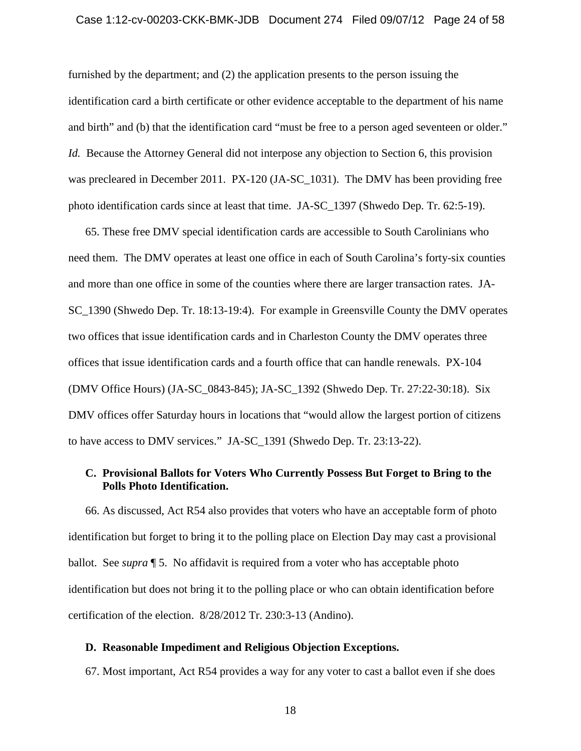### Case 1:12-cv-00203-CKK-BMK-JDB Document 274 Filed 09/07/12 Page 24 of 58

furnished by the department; and (2) the application presents to the person issuing the identification card a birth certificate or other evidence acceptable to the department of his name and birth" and (b) that the identification card "must be free to a person aged seventeen or older." *Id.* Because the Attorney General did not interpose any objection to Section 6, this provision was precleared in December 2011. PX-120 (JA-SC\_1031). The DMV has been providing free photo identification cards since at least that time. JA-SC\_1397 (Shwedo Dep. Tr. 62:5-19).

65. These free DMV special identification cards are accessible to South Carolinians who need them. The DMV operates at least one office in each of South Carolina's forty-six counties and more than one office in some of the counties where there are larger transaction rates. JA-SC\_1390 (Shwedo Dep. Tr. 18:13-19:4). For example in Greensville County the DMV operates two offices that issue identification cards and in Charleston County the DMV operates three offices that issue identification cards and a fourth office that can handle renewals. PX-104 (DMV Office Hours) (JA-SC\_0843-845); JA-SC\_1392 (Shwedo Dep. Tr. 27:22-30:18). Six DMV offices offer Saturday hours in locations that "would allow the largest portion of citizens to have access to DMV services." JA-SC\_1391 (Shwedo Dep. Tr. 23:13-22).

# <span id="page-23-0"></span>**C. Provisional Ballots for Voters Who Currently Possess But Forget to Bring to the Polls Photo Identification.**

66. As discussed, Act R54 also provides that voters who have an acceptable form of photo identification but forget to bring it to the polling place on Election Day may cast a provisional ballot. See *supra* ¶ 5. No affidavit is required from a voter who has acceptable photo identification but does not bring it to the polling place or who can obtain identification before certification of the election. 8/28/2012 Tr. 230:3-13 (Andino).

# <span id="page-23-1"></span>**D. Reasonable Impediment and Religious Objection Exceptions.**

67. Most important, Act R54 provides a way for any voter to cast a ballot even if she does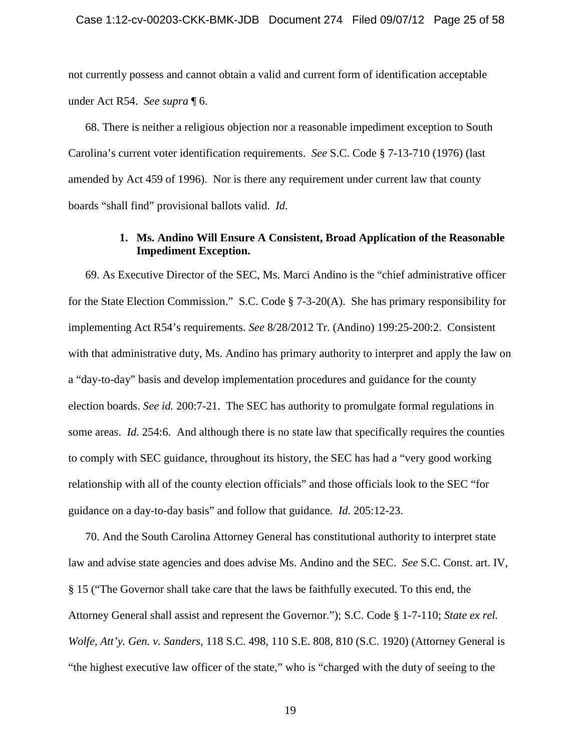not currently possess and cannot obtain a valid and current form of identification acceptable under Act R54. *See supra* ¶ 6.

68. There is neither a religious objection nor a reasonable impediment exception to South Carolina's current voter identification requirements. *See* S.C. Code § 7-13-710 (1976) (last amended by Act 459 of 1996). Nor is there any requirement under current law that county boards "shall find" provisional ballots valid. *Id.*

# **1. Ms. Andino Will Ensure A Consistent, Broad Application of the Reasonable Impediment Exception.**

<span id="page-24-0"></span>69. As Executive Director of the SEC, Ms. Marci Andino is the "chief administrative officer for the State Election Commission." S.C. Code § 7-3-20(A). She has primary responsibility for implementing Act R54's requirements. *See* 8/28/2012 Tr. (Andino) 199:25-200:2. Consistent with that administrative duty, Ms. Andino has primary authority to interpret and apply the law on a "day-to-day" basis and develop implementation procedures and guidance for the county election boards. *See id.* 200:7-21. The SEC has authority to promulgate formal regulations in some areas. *Id.* 254:6. And although there is no state law that specifically requires the counties to comply with SEC guidance, throughout its history, the SEC has had a "very good working relationship with all of the county election officials" and those officials look to the SEC "for guidance on a day-to-day basis" and follow that guidance. *Id.* 205:12-23.

70. And the South Carolina Attorney General has constitutional authority to interpret state law and advise state agencies and does advise Ms. Andino and the SEC. *See* S.C. Const. art. IV, § 15 ("The Governor shall take care that the laws be faithfully executed. To this end, the Attorney General shall assist and represent the Governor."); S.C. Code § 1-7-110; *State ex rel. Wolfe, Att'y. Gen. v. Sanders*, 118 S.C. 498, 110 S.E. 808, 810 (S.C. 1920) (Attorney General is "the highest executive law officer of the state," who is "charged with the duty of seeing to the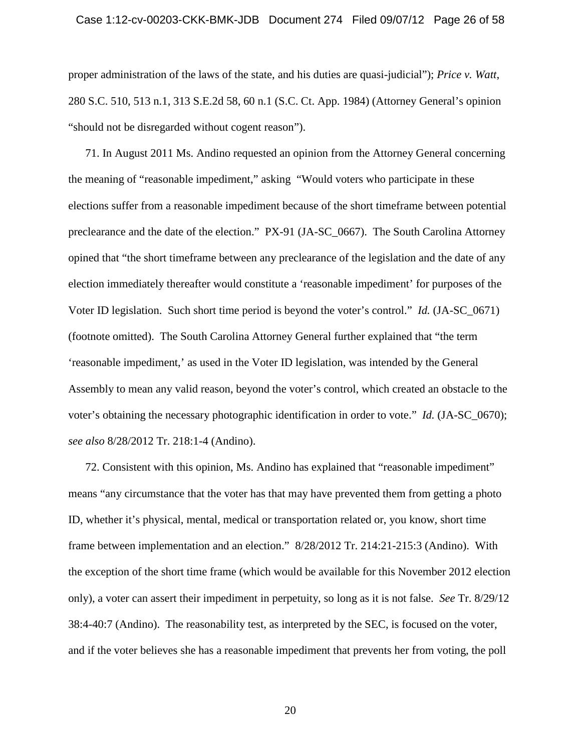proper administration of the laws of the state, and his duties are quasi-judicial"); *Price v. Watt*, 280 S.C. 510, 513 n.1, 313 S.E.2d 58, 60 n.1 (S.C. Ct. App. 1984) (Attorney General's opinion "should not be disregarded without cogent reason").

71. In August 2011 Ms. Andino requested an opinion from the Attorney General concerning the meaning of "reasonable impediment," asking "Would voters who participate in these elections suffer from a reasonable impediment because of the short timeframe between potential preclearance and the date of the election." PX-91 (JA-SC\_0667). The South Carolina Attorney opined that "the short timeframe between any preclearance of the legislation and the date of any election immediately thereafter would constitute a 'reasonable impediment' for purposes of the Voter ID legislation. Such short time period is beyond the voter's control." *Id.* (JA-SC\_0671) (footnote omitted). The South Carolina Attorney General further explained that "the term 'reasonable impediment,' as used in the Voter ID legislation, was intended by the General Assembly to mean any valid reason, beyond the voter's control, which created an obstacle to the voter's obtaining the necessary photographic identification in order to vote." *Id.* (JA-SC\_0670); *see also* 8/28/2012 Tr. 218:1-4 (Andino).

72. Consistent with this opinion, Ms. Andino has explained that "reasonable impediment" means "any circumstance that the voter has that may have prevented them from getting a photo ID, whether it's physical, mental, medical or transportation related or, you know, short time frame between implementation and an election." 8/28/2012 Tr. 214:21-215:3 (Andino). With the exception of the short time frame (which would be available for this November 2012 election only), a voter can assert their impediment in perpetuity, so long as it is not false. *See* Tr. 8/29/12 38:4-40:7 (Andino). The reasonability test, as interpreted by the SEC, is focused on the voter, and if the voter believes she has a reasonable impediment that prevents her from voting, the poll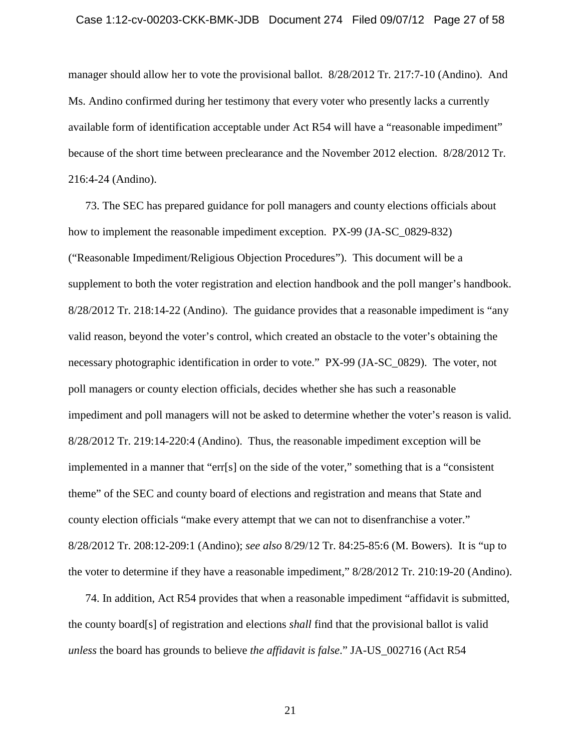manager should allow her to vote the provisional ballot. 8/28/2012 Tr. 217:7-10 (Andino). And Ms. Andino confirmed during her testimony that every voter who presently lacks a currently available form of identification acceptable under Act R54 will have a "reasonable impediment" because of the short time between preclearance and the November 2012 election. 8/28/2012 Tr. 216:4-24 (Andino).

73. The SEC has prepared guidance for poll managers and county elections officials about how to implement the reasonable impediment exception. PX-99 (JA-SC\_0829-832) ("Reasonable Impediment/Religious Objection Procedures"). This document will be a supplement to both the voter registration and election handbook and the poll manger's handbook. 8/28/2012 Tr. 218:14-22 (Andino). The guidance provides that a reasonable impediment is "any valid reason, beyond the voter's control, which created an obstacle to the voter's obtaining the necessary photographic identification in order to vote." PX-99 (JA-SC\_0829). The voter, not poll managers or county election officials, decides whether she has such a reasonable impediment and poll managers will not be asked to determine whether the voter's reason is valid. 8/28/2012 Tr. 219:14-220:4 (Andino). Thus, the reasonable impediment exception will be implemented in a manner that "err[s] on the side of the voter," something that is a "consistent theme" of the SEC and county board of elections and registration and means that State and county election officials "make every attempt that we can not to disenfranchise a voter." 8/28/2012 Tr. 208:12-209:1 (Andino); *see also* 8/29/12 Tr. 84:25-85:6 (M. Bowers). It is "up to the voter to determine if they have a reasonable impediment," 8/28/2012 Tr. 210:19-20 (Andino).

74. In addition, Act R54 provides that when a reasonable impediment "affidavit is submitted, the county board[s] of registration and elections *shall* find that the provisional ballot is valid *unless* the board has grounds to believe *the affidavit is false*." JA-US\_002716 (Act R54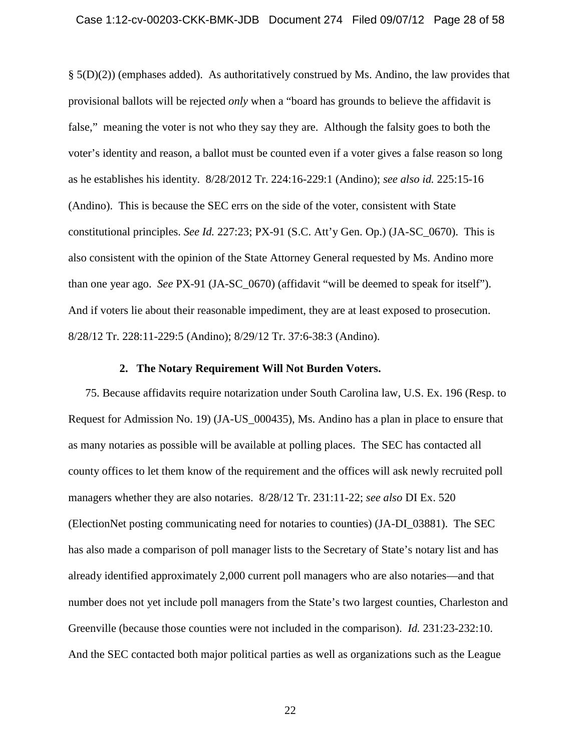### Case 1:12-cv-00203-CKK-BMK-JDB Document 274 Filed 09/07/12 Page 28 of 58

 $\S(5(D)(2))$  (emphases added). As authoritatively construed by Ms. Andino, the law provides that provisional ballots will be rejected *only* when a "board has grounds to believe the affidavit is false," meaning the voter is not who they say they are. Although the falsity goes to both the voter's identity and reason, a ballot must be counted even if a voter gives a false reason so long as he establishes his identity. 8/28/2012 Tr. 224:16-229:1 (Andino); *see also id.* 225:15-16 (Andino). This is because the SEC errs on the side of the voter, consistent with State constitutional principles. *See Id.* 227:23; PX-91 (S.C. Att'y Gen. Op.) (JA-SC\_0670). This is also consistent with the opinion of the State Attorney General requested by Ms. Andino more than one year ago. *See* PX-91 (JA-SC\_0670) (affidavit "will be deemed to speak for itself"). And if voters lie about their reasonable impediment, they are at least exposed to prosecution. 8/28/12 Tr. 228:11-229:5 (Andino); 8/29/12 Tr. 37:6-38:3 (Andino).

#### **2. The Notary Requirement Will Not Burden Voters.**

<span id="page-27-0"></span>75. Because affidavits require notarization under South Carolina law, U.S. Ex. 196 (Resp. to Request for Admission No. 19) (JA-US\_000435), Ms. Andino has a plan in place to ensure that as many notaries as possible will be available at polling places. The SEC has contacted all county offices to let them know of the requirement and the offices will ask newly recruited poll managers whether they are also notaries. 8/28/12 Tr. 231:11-22; *see also* DI Ex. 520 (ElectionNet posting communicating need for notaries to counties) (JA-DI\_03881). The SEC has also made a comparison of poll manager lists to the Secretary of State's notary list and has already identified approximately 2,000 current poll managers who are also notaries—and that number does not yet include poll managers from the State's two largest counties, Charleston and Greenville (because those counties were not included in the comparison). *Id.* 231:23-232:10. And the SEC contacted both major political parties as well as organizations such as the League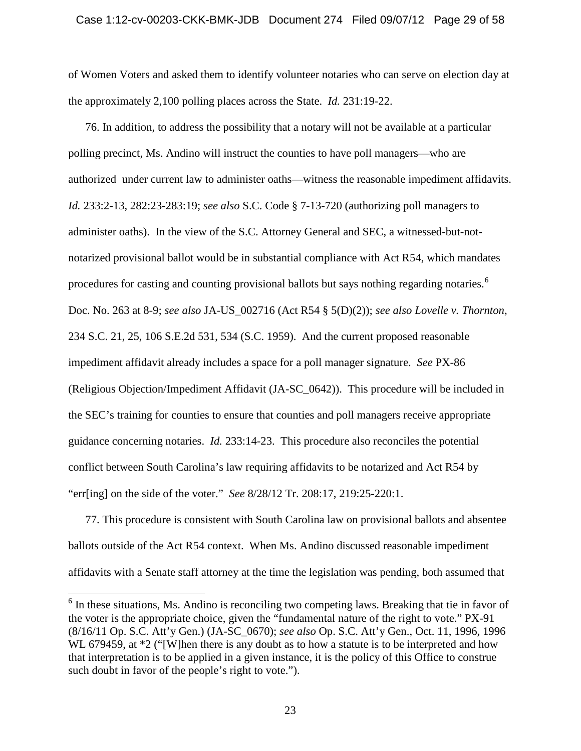#### Case 1:12-cv-00203-CKK-BMK-JDB Document 274 Filed 09/07/12 Page 29 of 58

of Women Voters and asked them to identify volunteer notaries who can serve on election day at the approximately 2,100 polling places across the State. *Id.* 231:19-22.

76. In addition, to address the possibility that a notary will not be available at a particular polling precinct, Ms. Andino will instruct the counties to have poll managers—who are authorized under current law to administer oaths—witness the reasonable impediment affidavits. *Id.* 233:2-13, 282:23-283:19; *see also* S.C. Code § 7-13-720 (authorizing poll managers to administer oaths). In the view of the S.C. Attorney General and SEC, a witnessed-but-notnotarized provisional ballot would be in substantial compliance with Act R54, which mandates procedures for casting and counting provisional ballots but says nothing regarding notaries.<sup>[6](#page-28-0)</sup> Doc. No. 263 at 8-9; *see also* JA-US\_002716 (Act R54 § 5(D)(2)); *see also Lovelle v. Thornton*, 234 S.C. 21, 25, 106 S.E.2d 531, 534 (S.C. 1959). And the current proposed reasonable impediment affidavit already includes a space for a poll manager signature. *See* PX-86 (Religious Objection/Impediment Affidavit (JA-SC\_0642)). This procedure will be included in the SEC's training for counties to ensure that counties and poll managers receive appropriate guidance concerning notaries. *Id.* 233:14-23. This procedure also reconciles the potential conflict between South Carolina's law requiring affidavits to be notarized and Act R54 by "err[ing] on the side of the voter." *See* 8/28/12 Tr. 208:17, 219:25-220:1.

77. This procedure is consistent with South Carolina law on provisional ballots and absentee ballots outside of the Act R54 context. When Ms. Andino discussed reasonable impediment affidavits with a Senate staff attorney at the time the legislation was pending, both assumed that

<span id="page-28-0"></span><sup>&</sup>lt;sup>6</sup> In these situations, Ms. Andino is reconciling two competing laws. Breaking that tie in favor of the voter is the appropriate choice, given the "fundamental nature of the right to vote." PX-91 (8/16/11 Op. S.C. Att'y Gen.) (JA-SC\_0670); *see also* Op. S.C. Att'y Gen., Oct. 11, 1996, 1996 WL 679459, at  $*2$  ("[W]hen there is any doubt as to how a statute is to be interpreted and how that interpretation is to be applied in a given instance, it is the policy of this Office to construe such doubt in favor of the people's right to vote.").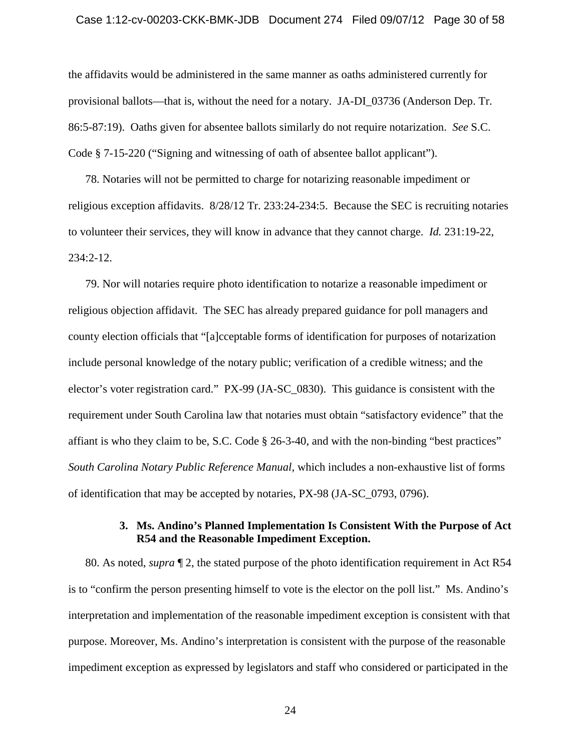### Case 1:12-cv-00203-CKK-BMK-JDB Document 274 Filed 09/07/12 Page 30 of 58

the affidavits would be administered in the same manner as oaths administered currently for provisional ballots—that is, without the need for a notary. JA-DI\_03736 (Anderson Dep. Tr. 86:5-87:19). Oaths given for absentee ballots similarly do not require notarization. *See* S.C. Code § 7-15-220 ("Signing and witnessing of oath of absentee ballot applicant").

78. Notaries will not be permitted to charge for notarizing reasonable impediment or religious exception affidavits. 8/28/12 Tr. 233:24-234:5. Because the SEC is recruiting notaries to volunteer their services, they will know in advance that they cannot charge. *Id.* 231:19-22, 234:2-12.

79. Nor will notaries require photo identification to notarize a reasonable impediment or religious objection affidavit. The SEC has already prepared guidance for poll managers and county election officials that "[a]cceptable forms of identification for purposes of notarization include personal knowledge of the notary public; verification of a credible witness; and the elector's voter registration card." PX-99 (JA-SC\_0830). This guidance is consistent with the requirement under South Carolina law that notaries must obtain "satisfactory evidence" that the affiant is who they claim to be, S.C. Code § 26-3-40, and with the non-binding "best practices" *South Carolina Notary Public Reference Manual*, which includes a non-exhaustive list of forms of identification that may be accepted by notaries, PX-98 (JA-SC\_0793, 0796).

# **3. Ms. Andino's Planned Implementation Is Consistent With the Purpose of Act R54 and the Reasonable Impediment Exception.**

<span id="page-29-0"></span>80. As noted, *supra* ¶ 2, the stated purpose of the photo identification requirement in Act R54 is to "confirm the person presenting himself to vote is the elector on the poll list." Ms. Andino's interpretation and implementation of the reasonable impediment exception is consistent with that purpose. Moreover, Ms. Andino's interpretation is consistent with the purpose of the reasonable impediment exception as expressed by legislators and staff who considered or participated in the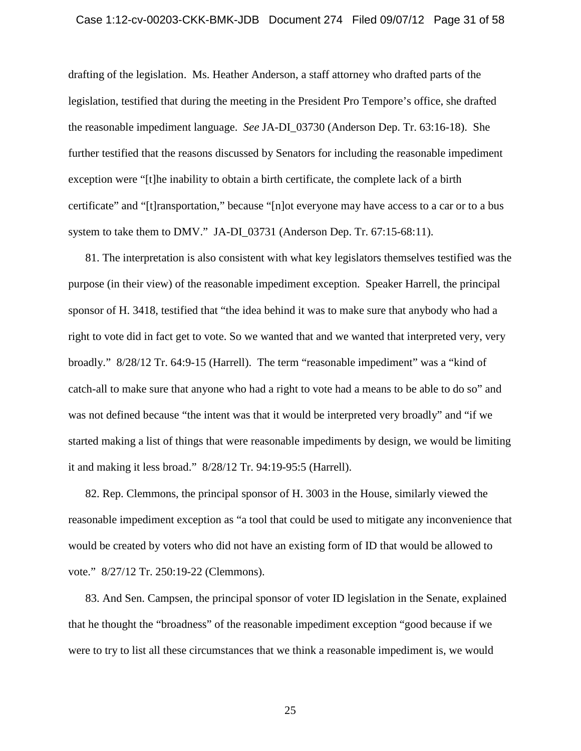#### Case 1:12-cv-00203-CKK-BMK-JDB Document 274 Filed 09/07/12 Page 31 of 58

drafting of the legislation. Ms. Heather Anderson, a staff attorney who drafted parts of the legislation, testified that during the meeting in the President Pro Tempore's office, she drafted the reasonable impediment language. *See* JA-DI\_03730 (Anderson Dep. Tr. 63:16-18). She further testified that the reasons discussed by Senators for including the reasonable impediment exception were "[t]he inability to obtain a birth certificate, the complete lack of a birth certificate" and "[t]ransportation," because "[n]ot everyone may have access to a car or to a bus system to take them to DMV." JA-DI\_03731 (Anderson Dep. Tr. 67:15-68:11).

81. The interpretation is also consistent with what key legislators themselves testified was the purpose (in their view) of the reasonable impediment exception. Speaker Harrell, the principal sponsor of H. 3418, testified that "the idea behind it was to make sure that anybody who had a right to vote did in fact get to vote. So we wanted that and we wanted that interpreted very, very broadly." 8/28/12 Tr. 64:9-15 (Harrell). The term "reasonable impediment" was a "kind of catch-all to make sure that anyone who had a right to vote had a means to be able to do so" and was not defined because "the intent was that it would be interpreted very broadly" and "if we started making a list of things that were reasonable impediments by design, we would be limiting it and making it less broad." 8/28/12 Tr. 94:19-95:5 (Harrell).

82. Rep. Clemmons, the principal sponsor of H. 3003 in the House, similarly viewed the reasonable impediment exception as "a tool that could be used to mitigate any inconvenience that would be created by voters who did not have an existing form of ID that would be allowed to vote." 8/27/12 Tr. 250:19-22 (Clemmons).

83. And Sen. Campsen, the principal sponsor of voter ID legislation in the Senate, explained that he thought the "broadness" of the reasonable impediment exception "good because if we were to try to list all these circumstances that we think a reasonable impediment is, we would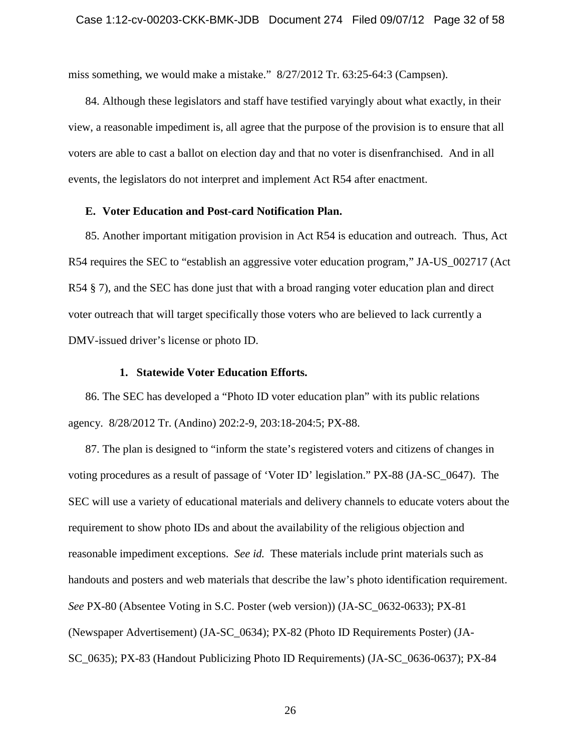miss something, we would make a mistake." 8/27/2012 Tr. 63:25-64:3 (Campsen).

84. Although these legislators and staff have testified varyingly about what exactly, in their view, a reasonable impediment is, all agree that the purpose of the provision is to ensure that all voters are able to cast a ballot on election day and that no voter is disenfranchised. And in all events, the legislators do not interpret and implement Act R54 after enactment.

## <span id="page-31-0"></span>**E. Voter Education and Post-card Notification Plan.**

85. Another important mitigation provision in Act R54 is education and outreach. Thus, Act R54 requires the SEC to "establish an aggressive voter education program," JA-US\_002717 (Act R54 § 7), and the SEC has done just that with a broad ranging voter education plan and direct voter outreach that will target specifically those voters who are believed to lack currently a DMV-issued driver's license or photo ID.

## **1. Statewide Voter Education Efforts.**

<span id="page-31-1"></span>86. The SEC has developed a "Photo ID voter education plan" with its public relations agency. 8/28/2012 Tr. (Andino) 202:2-9, 203:18-204:5; PX-88.

87. The plan is designed to "inform the state's registered voters and citizens of changes in voting procedures as a result of passage of 'Voter ID' legislation." PX-88 (JA-SC\_0647). The SEC will use a variety of educational materials and delivery channels to educate voters about the requirement to show photo IDs and about the availability of the religious objection and reasonable impediment exceptions. *See id.* These materials include print materials such as handouts and posters and web materials that describe the law's photo identification requirement. *See* PX-80 (Absentee Voting in S.C. Poster (web version)) (JA-SC\_0632-0633); PX-81 (Newspaper Advertisement) (JA-SC\_0634); PX-82 (Photo ID Requirements Poster) (JA-SC\_0635); PX-83 (Handout Publicizing Photo ID Requirements) (JA-SC\_0636-0637); PX-84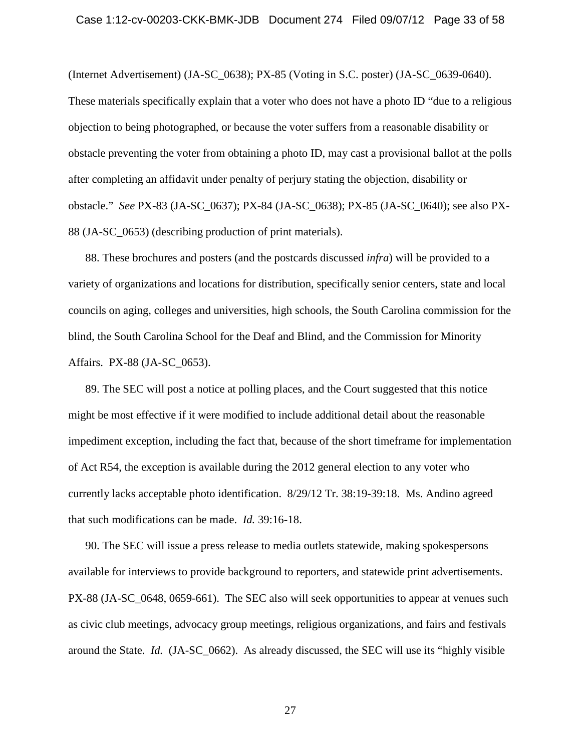(Internet Advertisement) (JA-SC\_0638); PX-85 (Voting in S.C. poster) (JA-SC\_0639-0640). These materials specifically explain that a voter who does not have a photo ID "due to a religious objection to being photographed, or because the voter suffers from a reasonable disability or obstacle preventing the voter from obtaining a photo ID, may cast a provisional ballot at the polls after completing an affidavit under penalty of perjury stating the objection, disability or obstacle." *See* PX-83 (JA-SC\_0637); PX-84 (JA-SC\_0638); PX-85 (JA-SC\_0640); see also PX-88 (JA-SC\_0653) (describing production of print materials).

88. These brochures and posters (and the postcards discussed *infra*) will be provided to a variety of organizations and locations for distribution, specifically senior centers, state and local councils on aging, colleges and universities, high schools, the South Carolina commission for the blind, the South Carolina School for the Deaf and Blind, and the Commission for Minority Affairs. PX-88 (JA-SC\_0653).

89. The SEC will post a notice at polling places, and the Court suggested that this notice might be most effective if it were modified to include additional detail about the reasonable impediment exception, including the fact that, because of the short timeframe for implementation of Act R54, the exception is available during the 2012 general election to any voter who currently lacks acceptable photo identification. 8/29/12 Tr. 38:19-39:18. Ms. Andino agreed that such modifications can be made. *Id.* 39:16-18.

90. The SEC will issue a press release to media outlets statewide, making spokespersons available for interviews to provide background to reporters, and statewide print advertisements. PX-88 (JA-SC\_0648, 0659-661). The SEC also will seek opportunities to appear at venues such as civic club meetings, advocacy group meetings, religious organizations, and fairs and festivals around the State. *Id.* (JA-SC\_0662). As already discussed, the SEC will use its "highly visible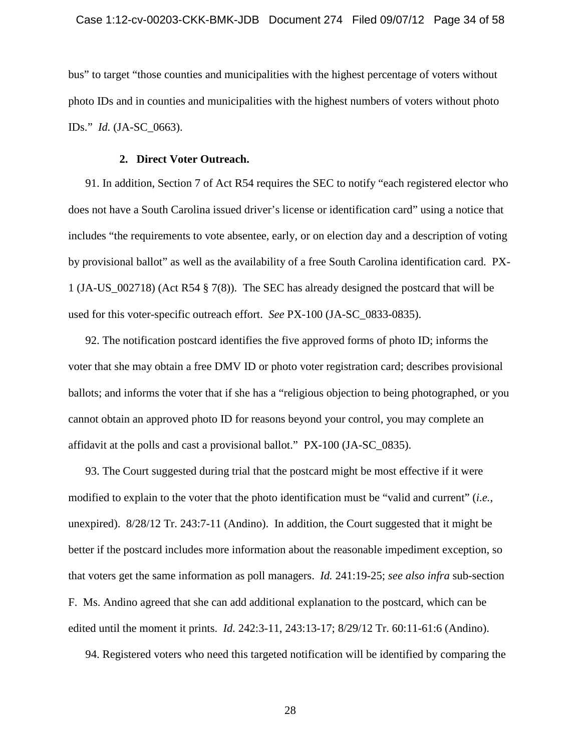bus" to target "those counties and municipalities with the highest percentage of voters without photo IDs and in counties and municipalities with the highest numbers of voters without photo IDs." *Id.* (JA-SC\_0663).

# **2. Direct Voter Outreach.**

<span id="page-33-0"></span>91. In addition, Section 7 of Act R54 requires the SEC to notify "each registered elector who does not have a South Carolina issued driver's license or identification card" using a notice that includes "the requirements to vote absentee, early, or on election day and a description of voting by provisional ballot" as well as the availability of a free South Carolina identification card. PX-1 (JA-US\_002718) (Act R54 § 7(8)). The SEC has already designed the postcard that will be used for this voter-specific outreach effort. *See* PX-100 (JA-SC\_0833-0835).

92. The notification postcard identifies the five approved forms of photo ID; informs the voter that she may obtain a free DMV ID or photo voter registration card; describes provisional ballots; and informs the voter that if she has a "religious objection to being photographed, or you cannot obtain an approved photo ID for reasons beyond your control, you may complete an affidavit at the polls and cast a provisional ballot." PX-100 (JA-SC\_0835).

93. The Court suggested during trial that the postcard might be most effective if it were modified to explain to the voter that the photo identification must be "valid and current" (*i.e.*, unexpired). 8/28/12 Tr. 243:7-11 (Andino). In addition, the Court suggested that it might be better if the postcard includes more information about the reasonable impediment exception, so that voters get the same information as poll managers. *Id.* 241:19-25; *see also infra* sub-section F. Ms. Andino agreed that she can add additional explanation to the postcard, which can be edited until the moment it prints. *Id.* 242:3-11, 243:13-17; 8/29/12 Tr. 60:11-61:6 (Andino).

94. Registered voters who need this targeted notification will be identified by comparing the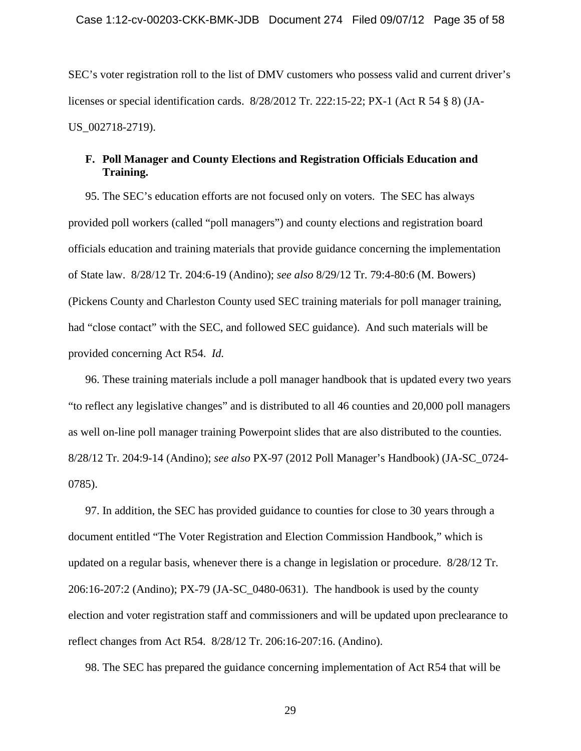SEC's voter registration roll to the list of DMV customers who possess valid and current driver's licenses or special identification cards. 8/28/2012 Tr. 222:15-22; PX-1 (Act R 54 § 8) (JA-US\_002718-2719).

# <span id="page-34-0"></span>**F. Poll Manager and County Elections and Registration Officials Education and Training.**

95. The SEC's education efforts are not focused only on voters. The SEC has always provided poll workers (called "poll managers") and county elections and registration board officials education and training materials that provide guidance concerning the implementation of State law. 8/28/12 Tr. 204:6-19 (Andino); *see also* 8/29/12 Tr. 79:4-80:6 (M. Bowers) (Pickens County and Charleston County used SEC training materials for poll manager training, had "close contact" with the SEC, and followed SEC guidance). And such materials will be provided concerning Act R54. *Id.*

96. These training materials include a poll manager handbook that is updated every two years "to reflect any legislative changes" and is distributed to all 46 counties and 20,000 poll managers as well on-line poll manager training Powerpoint slides that are also distributed to the counties. 8/28/12 Tr. 204:9-14 (Andino); *see also* PX-97 (2012 Poll Manager's Handbook) (JA-SC\_0724- 0785).

97. In addition, the SEC has provided guidance to counties for close to 30 years through a document entitled "The Voter Registration and Election Commission Handbook," which is updated on a regular basis, whenever there is a change in legislation or procedure. 8/28/12 Tr. 206:16-207:2 (Andino); PX-79 (JA-SC\_0480-0631). The handbook is used by the county election and voter registration staff and commissioners and will be updated upon preclearance to reflect changes from Act R54. 8/28/12 Tr. 206:16-207:16. (Andino).

98. The SEC has prepared the guidance concerning implementation of Act R54 that will be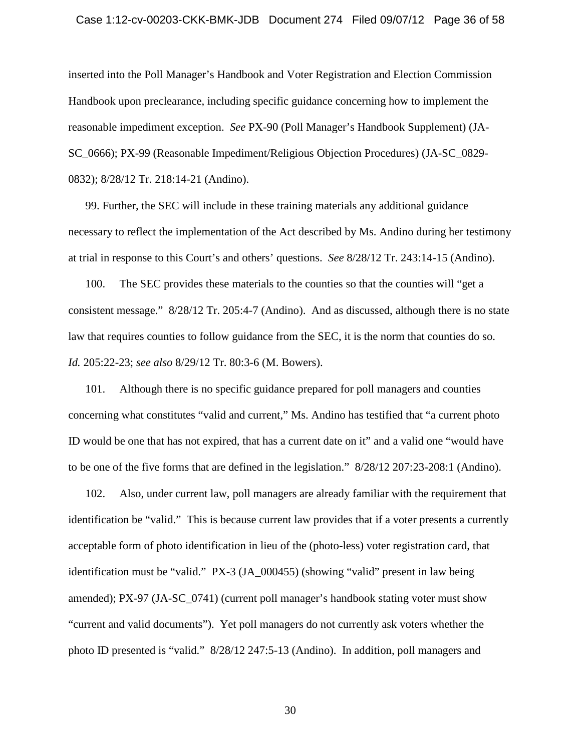### Case 1:12-cv-00203-CKK-BMK-JDB Document 274 Filed 09/07/12 Page 36 of 58

inserted into the Poll Manager's Handbook and Voter Registration and Election Commission Handbook upon preclearance, including specific guidance concerning how to implement the reasonable impediment exception. *See* PX-90 (Poll Manager's Handbook Supplement) (JA-SC\_0666); PX-99 (Reasonable Impediment/Religious Objection Procedures) (JA-SC\_0829- 0832); 8/28/12 Tr. 218:14-21 (Andino).

99. Further, the SEC will include in these training materials any additional guidance necessary to reflect the implementation of the Act described by Ms. Andino during her testimony at trial in response to this Court's and others' questions. *See* 8/28/12 Tr. 243:14-15 (Andino).

100. The SEC provides these materials to the counties so that the counties will "get a consistent message." 8/28/12 Tr. 205:4-7 (Andino). And as discussed, although there is no state law that requires counties to follow guidance from the SEC, it is the norm that counties do so. *Id.* 205:22-23; *see also* 8/29/12 Tr. 80:3-6 (M. Bowers).

101. Although there is no specific guidance prepared for poll managers and counties concerning what constitutes "valid and current," Ms. Andino has testified that "a current photo ID would be one that has not expired, that has a current date on it" and a valid one "would have to be one of the five forms that are defined in the legislation." 8/28/12 207:23-208:1 (Andino).

102. Also, under current law, poll managers are already familiar with the requirement that identification be "valid." This is because current law provides that if a voter presents a currently acceptable form of photo identification in lieu of the (photo-less) voter registration card, that identification must be "valid." PX-3 (JA\_000455) (showing "valid" present in law being amended); PX-97 (JA-SC\_0741) (current poll manager's handbook stating voter must show "current and valid documents"). Yet poll managers do not currently ask voters whether the photo ID presented is "valid." 8/28/12 247:5-13 (Andino). In addition, poll managers and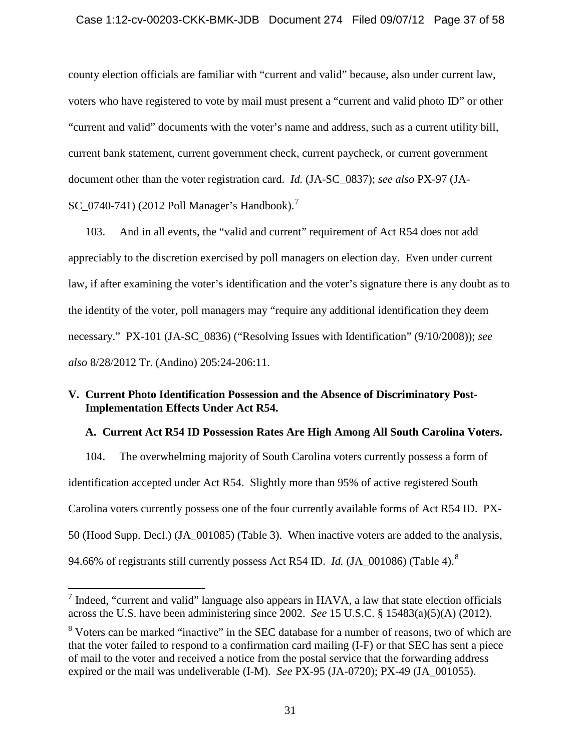# Case 1:12-cv-00203-CKK-BMK-JDB Document 274 Filed 09/07/12 Page 37 of 58

county election officials are familiar with "current and valid" because, also under current law, voters who have registered to vote by mail must present a "current and valid photo ID" or other "current and valid" documents with the voter's name and address, such as a current utility bill, current bank statement, current government check, current paycheck, or current government document other than the voter registration card. *Id.* (JA-SC\_0837); *see also* PX-97 (JA-SC  $0740-741$  $0740-741$  $0740-741$ ) (2012 Poll Manager's Handbook).<sup>7</sup>

103. And in all events, the "valid and current" requirement of Act R54 does not add appreciably to the discretion exercised by poll managers on election day. Even under current law, if after examining the voter's identification and the voter's signature there is any doubt as to the identity of the voter, poll managers may "require any additional identification they deem necessary." PX-101 (JA-SC\_0836) ("Resolving Issues with Identification" (9/10/2008)); *see also* 8/28/2012 Tr. (Andino) 205:24-206:11.

# <span id="page-36-0"></span>**V. Current Photo Identification Possession and the Absence of Discriminatory Post-Implementation Effects Under Act R54.**

# <span id="page-36-1"></span>**A. Current Act R54 ID Possession Rates Are High Among All South Carolina Voters.**

104. The overwhelming majority of South Carolina voters currently possess a form of identification accepted under Act R54. Slightly more than 95% of active registered South Carolina voters currently possess one of the four currently available forms of Act R54 ID. PX-50 (Hood Supp. Decl.) (JA\_001085) (Table 3). When inactive voters are added to the analysis, 94.66% of registrants still currently possess Act R54 ID. *Id.* (JA\_001086) (Table 4).[8](#page-36-3)

<span id="page-36-2"></span> $<sup>7</sup>$  Indeed, "current and valid" language also appears in HAVA, a law that state election officials</sup> across the U.S. have been administering since 2002. *See* 15 U.S.C. § 15483(a)(5)(A) (2012).

<span id="page-36-3"></span><sup>&</sup>lt;sup>8</sup> Voters can be marked "inactive" in the SEC database for a number of reasons, two of which are that the voter failed to respond to a confirmation card mailing (I-F) or that SEC has sent a piece of mail to the voter and received a notice from the postal service that the forwarding address expired or the mail was undeliverable (I-M). *See* PX-95 (JA-0720); PX-49 (JA\_001055).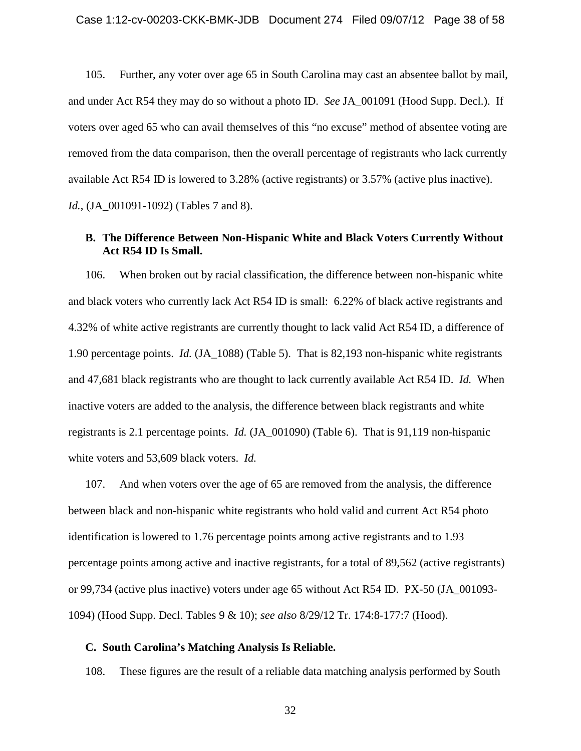105. Further, any voter over age 65 in South Carolina may cast an absentee ballot by mail, and under Act R54 they may do so without a photo ID. *See* JA\_001091 (Hood Supp. Decl.). If voters over aged 65 who can avail themselves of this "no excuse" method of absentee voting are removed from the data comparison, then the overall percentage of registrants who lack currently available Act R54 ID is lowered to 3.28% (active registrants) or 3.57% (active plus inactive). *Id.*, (JA\_001091-1092) (Tables 7 and 8).

# <span id="page-37-0"></span>**B. The Difference Between Non-Hispanic White and Black Voters Currently Without Act R54 ID Is Small.**

106. When broken out by racial classification, the difference between non-hispanic white and black voters who currently lack Act R54 ID is small: 6.22% of black active registrants and 4.32% of white active registrants are currently thought to lack valid Act R54 ID, a difference of 1.90 percentage points. *Id.* (JA\_1088) (Table 5). That is 82,193 non-hispanic white registrants and 47,681 black registrants who are thought to lack currently available Act R54 ID. *Id.* When inactive voters are added to the analysis, the difference between black registrants and white registrants is 2.1 percentage points. *Id.* (JA\_001090) (Table 6). That is 91,119 non-hispanic white voters and 53,609 black voters. *Id.*

107. And when voters over the age of 65 are removed from the analysis, the difference between black and non-hispanic white registrants who hold valid and current Act R54 photo identification is lowered to 1.76 percentage points among active registrants and to 1.93 percentage points among active and inactive registrants, for a total of 89,562 (active registrants) or 99,734 (active plus inactive) voters under age 65 without Act R54 ID. PX-50 (JA\_001093- 1094) (Hood Supp. Decl. Tables 9 & 10); *see also* 8/29/12 Tr. 174:8-177:7 (Hood).

# <span id="page-37-1"></span>**C. South Carolina's Matching Analysis Is Reliable.**

108. These figures are the result of a reliable data matching analysis performed by South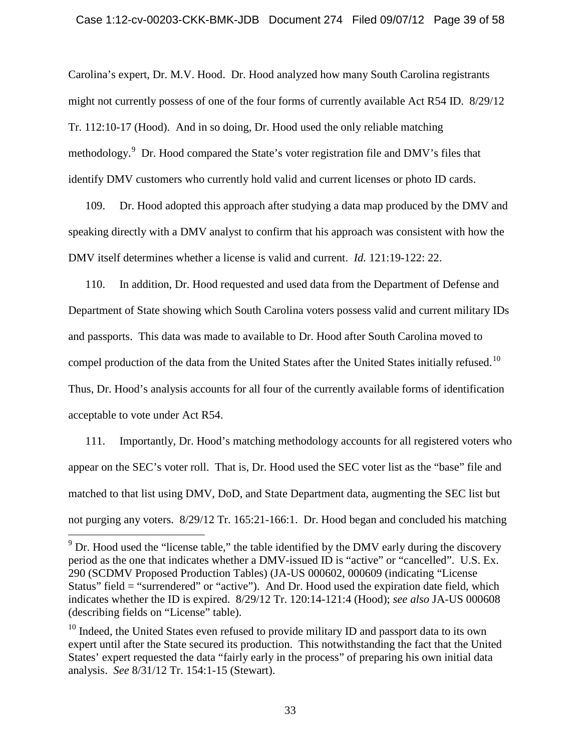Carolina's expert, Dr. M.V. Hood. Dr. Hood analyzed how many South Carolina registrants might not currently possess of one of the four forms of currently available Act R54 ID. 8/29/12 Tr. 112:10-17 (Hood). And in so doing, Dr. Hood used the only reliable matching methodology.<sup>[9](#page-38-0)</sup> Dr. Hood compared the State's voter registration file and DMV's files that identify DMV customers who currently hold valid and current licenses or photo ID cards.

109. Dr. Hood adopted this approach after studying a data map produced by the DMV and speaking directly with a DMV analyst to confirm that his approach was consistent with how the DMV itself determines whether a license is valid and current. *Id.* 121:19-122: 22.

110. In addition, Dr. Hood requested and used data from the Department of Defense and Department of State showing which South Carolina voters possess valid and current military IDs and passports. This data was made to available to Dr. Hood after South Carolina moved to compel production of the data from the United States after the United States initially refused.<sup>10</sup> Thus, Dr. Hood's analysis accounts for all four of the currently available forms of identification acceptable to vote under Act R54.

111. Importantly, Dr. Hood's matching methodology accounts for all registered voters who appear on the SEC's voter roll. That is, Dr. Hood used the SEC voter list as the "base" file and matched to that list using DMV, DoD, and State Department data, augmenting the SEC list but not purging any voters. 8/29/12 Tr. 165:21-166:1. Dr. Hood began and concluded his matching

<span id="page-38-0"></span> $9$  Dr. Hood used the "license table," the table identified by the DMV early during the discovery period as the one that indicates whether a DMV-issued ID is "active" or "cancelled". U.S. Ex. 290 (SCDMV Proposed Production Tables) (JA-US 000602, 000609 (indicating "License Status" field = "surrendered" or "active"). And Dr. Hood used the expiration date field, which indicates whether the ID is expired. 8/29/12 Tr. 120:14-121:4 (Hood); *see also* JA-US 000608 (describing fields on "License" table).

<span id="page-38-1"></span><sup>&</sup>lt;sup>10</sup> Indeed, the United States even refused to provide military ID and passport data to its own expert until after the State secured its production. This notwithstanding the fact that the United States' expert requested the data "fairly early in the process" of preparing his own initial data analysis. *See* 8/31/12 Tr. 154:1-15 (Stewart).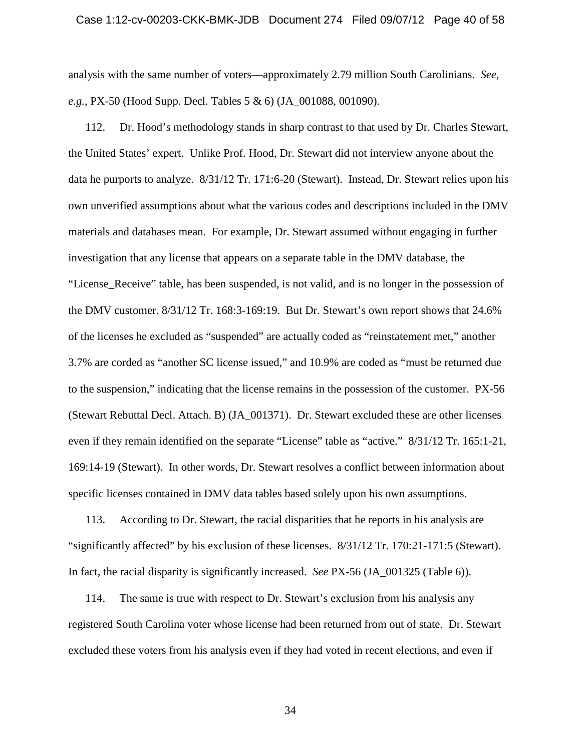# Case 1:12-cv-00203-CKK-BMK-JDB Document 274 Filed 09/07/12 Page 40 of 58

analysis with the same number of voters—approximately 2.79 million South Carolinians. *See, e.g.*, PX-50 (Hood Supp. Decl. Tables 5 & 6) (JA\_001088, 001090).

112. Dr. Hood's methodology stands in sharp contrast to that used by Dr. Charles Stewart, the United States' expert. Unlike Prof. Hood, Dr. Stewart did not interview anyone about the data he purports to analyze. 8/31/12 Tr. 171:6-20 (Stewart). Instead, Dr. Stewart relies upon his own unverified assumptions about what the various codes and descriptions included in the DMV materials and databases mean. For example, Dr. Stewart assumed without engaging in further investigation that any license that appears on a separate table in the DMV database, the "License Receive" table, has been suspended, is not valid, and is no longer in the possession of the DMV customer. 8/31/12 Tr. 168:3-169:19. But Dr. Stewart's own report shows that 24.6% of the licenses he excluded as "suspended" are actually coded as "reinstatement met," another 3.7% are corded as "another SC license issued," and 10.9% are coded as "must be returned due to the suspension," indicating that the license remains in the possession of the customer. PX-56 (Stewart Rebuttal Decl. Attach. B) (JA\_001371). Dr. Stewart excluded these are other licenses even if they remain identified on the separate "License" table as "active." 8/31/12 Tr. 165:1-21, 169:14-19 (Stewart). In other words, Dr. Stewart resolves a conflict between information about specific licenses contained in DMV data tables based solely upon his own assumptions.

113. According to Dr. Stewart, the racial disparities that he reports in his analysis are "significantly affected" by his exclusion of these licenses. 8/31/12 Tr. 170:21-171:5 (Stewart). In fact, the racial disparity is significantly increased. *See* PX-56 (JA\_001325 (Table 6)).

114. The same is true with respect to Dr. Stewart's exclusion from his analysis any registered South Carolina voter whose license had been returned from out of state. Dr. Stewart excluded these voters from his analysis even if they had voted in recent elections, and even if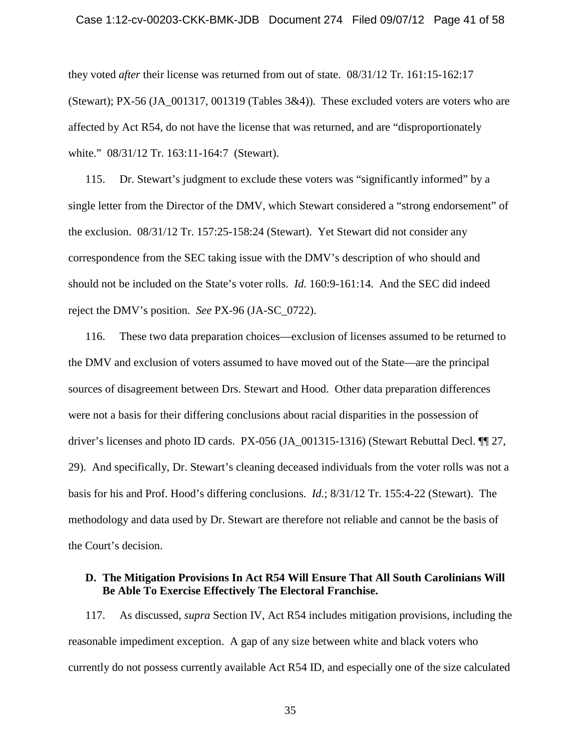#### Case 1:12-cv-00203-CKK-BMK-JDB Document 274 Filed 09/07/12 Page 41 of 58

they voted *after* their license was returned from out of state. 08/31/12 Tr. 161:15-162:17 (Stewart); PX-56 (JA\_001317, 001319 (Tables 3&4)). These excluded voters are voters who are affected by Act R54, do not have the license that was returned, and are "disproportionately white." 08/31/12 Tr. 163:11-164:7 (Stewart).

115. Dr. Stewart's judgment to exclude these voters was "significantly informed" by a single letter from the Director of the DMV, which Stewart considered a "strong endorsement" of the exclusion. 08/31/12 Tr. 157:25-158:24 (Stewart). Yet Stewart did not consider any correspondence from the SEC taking issue with the DMV's description of who should and should not be included on the State's voter rolls. *Id.* 160:9-161:14. And the SEC did indeed reject the DMV's position. *See* PX-96 (JA-SC\_0722).

116. These two data preparation choices—exclusion of licenses assumed to be returned to the DMV and exclusion of voters assumed to have moved out of the State—are the principal sources of disagreement between Drs. Stewart and Hood. Other data preparation differences were not a basis for their differing conclusions about racial disparities in the possession of driver's licenses and photo ID cards. PX-056 (JA\_001315-1316) (Stewart Rebuttal Decl. ¶¶ 27, 29). And specifically, Dr. Stewart's cleaning deceased individuals from the voter rolls was not a basis for his and Prof. Hood's differing conclusions. *Id.*; 8/31/12 Tr. 155:4-22 (Stewart). The methodology and data used by Dr. Stewart are therefore not reliable and cannot be the basis of the Court's decision.

# <span id="page-40-0"></span>**D. The Mitigation Provisions In Act R54 Will Ensure That All South Carolinians Will Be Able To Exercise Effectively The Electoral Franchise.**

117. As discussed, *supra* Section IV, Act R54 includes mitigation provisions, including the reasonable impediment exception. A gap of any size between white and black voters who currently do not possess currently available Act R54 ID, and especially one of the size calculated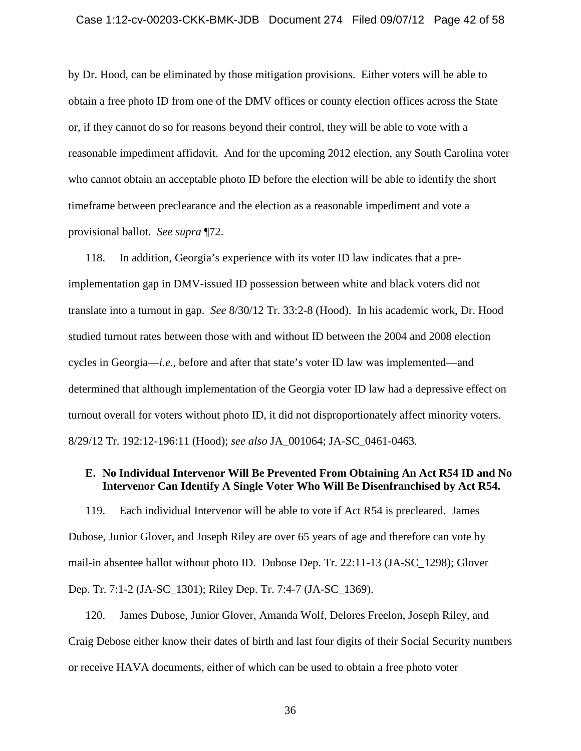by Dr. Hood, can be eliminated by those mitigation provisions. Either voters will be able to obtain a free photo ID from one of the DMV offices or county election offices across the State or, if they cannot do so for reasons beyond their control, they will be able to vote with a reasonable impediment affidavit. And for the upcoming 2012 election, any South Carolina voter who cannot obtain an acceptable photo ID before the election will be able to identify the short timeframe between preclearance and the election as a reasonable impediment and vote a provisional ballot. *See supra* ¶72.

118. In addition, Georgia's experience with its voter ID law indicates that a preimplementation gap in DMV-issued ID possession between white and black voters did not translate into a turnout in gap. *See* 8/30/12 Tr. 33:2-8 (Hood). In his academic work, Dr. Hood studied turnout rates between those with and without ID between the 2004 and 2008 election cycles in Georgia—*i.e.*, before and after that state's voter ID law was implemented—and determined that although implementation of the Georgia voter ID law had a depressive effect on turnout overall for voters without photo ID, it did not disproportionately affect minority voters. 8/29/12 Tr. 192:12-196:11 (Hood); *see also* JA\_001064; JA-SC\_0461-0463.

# <span id="page-41-0"></span>**E. No Individual Intervenor Will Be Prevented From Obtaining An Act R54 ID and No Intervenor Can Identify A Single Voter Who Will Be Disenfranchised by Act R54.**

119. Each individual Intervenor will be able to vote if Act R54 is precleared. James Dubose, Junior Glover, and Joseph Riley are over 65 years of age and therefore can vote by mail-in absentee ballot without photo ID. Dubose Dep. Tr. 22:11-13 (JA-SC\_1298); Glover Dep. Tr. 7:1-2 (JA-SC\_1301); Riley Dep. Tr. 7:4-7 (JA-SC\_1369).

120. James Dubose, Junior Glover, Amanda Wolf, Delores Freelon, Joseph Riley, and Craig Debose either know their dates of birth and last four digits of their Social Security numbers or receive HAVA documents, either of which can be used to obtain a free photo voter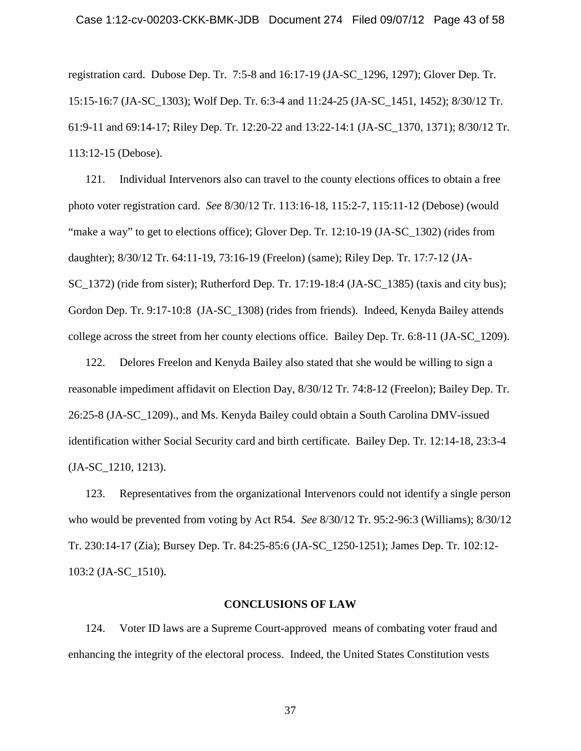registration card. Dubose Dep. Tr. 7:5-8 and 16:17-19 (JA-SC\_1296, 1297); Glover Dep. Tr. 15:15-16:7 (JA-SC\_1303); Wolf Dep. Tr. 6:3-4 and 11:24-25 (JA-SC\_1451, 1452); 8/30/12 Tr. 61:9-11 and 69:14-17; Riley Dep. Tr. 12:20-22 and 13:22-14:1 (JA-SC\_1370, 1371); 8/30/12 Tr. 113:12-15 (Debose).

121. Individual Intervenors also can travel to the county elections offices to obtain a free photo voter registration card. *See* 8/30/12 Tr. 113:16-18, 115:2-7, 115:11-12 (Debose) (would "make a way" to get to elections office); Glover Dep. Tr. 12:10-19 (JA-SC\_1302) (rides from daughter); 8/30/12 Tr. 64:11-19, 73:16-19 (Freelon) (same); Riley Dep. Tr. 17:7-12 (JA-SC 1372) (ride from sister); Rutherford Dep. Tr. 17:19-18:4 (JA-SC 1385) (taxis and city bus); Gordon Dep. Tr. 9:17-10:8 (JA-SC\_1308) (rides from friends). Indeed, Kenyda Bailey attends college across the street from her county elections office. Bailey Dep. Tr. 6:8-11 (JA-SC\_1209).

122. Delores Freelon and Kenyda Bailey also stated that she would be willing to sign a reasonable impediment affidavit on Election Day, 8/30/12 Tr. 74:8-12 (Freelon); Bailey Dep. Tr. 26:25-8 (JA-SC\_1209)., and Ms. Kenyda Bailey could obtain a South Carolina DMV-issued identification wither Social Security card and birth certificate. Bailey Dep. Tr. 12:14-18, 23:3-4 (JA-SC\_1210, 1213).

123. Representatives from the organizational Intervenors could not identify a single person who would be prevented from voting by Act R54. *See* 8/30/12 Tr. 95:2-96:3 (Williams); 8/30/12 Tr. 230:14-17 (Zia); Bursey Dep. Tr. 84:25-85:6 (JA-SC\_1250-1251); James Dep. Tr. 102:12- 103:2 (JA-SC\_1510).

### **CONCLUSIONS OF LAW**

<span id="page-42-0"></span>124. Voter ID laws are a Supreme Court-approved means of combating voter fraud and enhancing the integrity of the electoral process. Indeed, the United States Constitution vests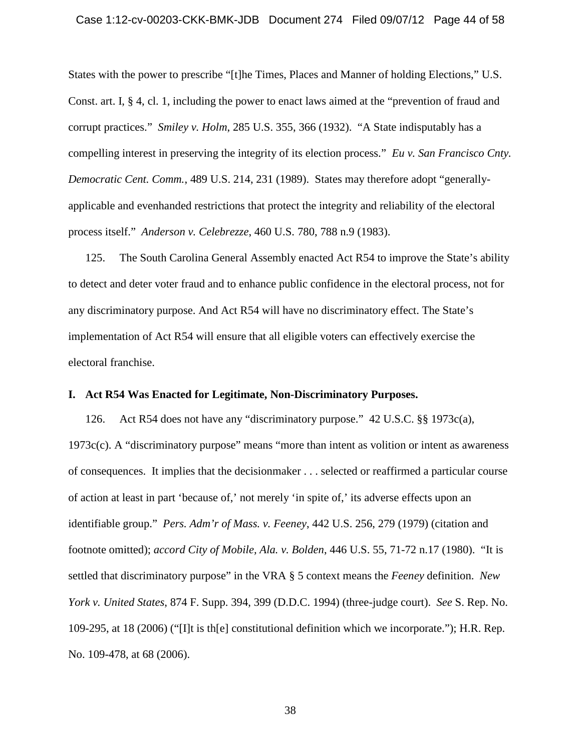### Case 1:12-cv-00203-CKK-BMK-JDB Document 274 Filed 09/07/12 Page 44 of 58

States with the power to prescribe "[t]he Times, Places and Manner of holding Elections," U.S. Const. art. I, § 4, cl. 1, including the power to enact laws aimed at the "prevention of fraud and corrupt practices." *Smiley v. Holm*, 285 U.S. 355, 366 (1932). "A State indisputably has a compelling interest in preserving the integrity of its election process." *Eu v. San Francisco Cnty. Democratic Cent. Comm.*, 489 U.S. 214, 231 (1989). States may therefore adopt "generallyapplicable and evenhanded restrictions that protect the integrity and reliability of the electoral process itself." *Anderson v. Celebrezze*, 460 U.S. 780, 788 n.9 (1983).

125. The South Carolina General Assembly enacted Act R54 to improve the State's ability to detect and deter voter fraud and to enhance public confidence in the electoral process, not for any discriminatory purpose. And Act R54 will have no discriminatory effect. The State's implementation of Act R54 will ensure that all eligible voters can effectively exercise the electoral franchise.

# <span id="page-43-0"></span>**I. Act R54 Was Enacted for Legitimate, Non-Discriminatory Purposes.**

126. Act R54 does not have any "discriminatory purpose." 42 U.S.C. §§ 1973c(a), 1973c(c). A "discriminatory purpose" means "more than intent as volition or intent as awareness of consequences. It implies that the decisionmaker . . . selected or reaffirmed a particular course of action at least in part 'because of,' not merely 'in spite of,' its adverse effects upon an identifiable group." *Pers. Adm'r of Mass. v. Feeney*, 442 U.S. 256, 279 (1979) (citation and footnote omitted); *accord City of Mobile, Ala. v. Bolden*, 446 U.S. 55, 71-72 n.17 (1980). "It is settled that discriminatory purpose" in the VRA § 5 context means the *Feeney* definition. *New York v. United States*, 874 F. Supp. 394, 399 (D.D.C. 1994) (three-judge court). *See* S. Rep. No. 109-295, at 18 (2006) ("[I]t is th[e] constitutional definition which we incorporate."); H.R. Rep. No. 109-478, at 68 (2006).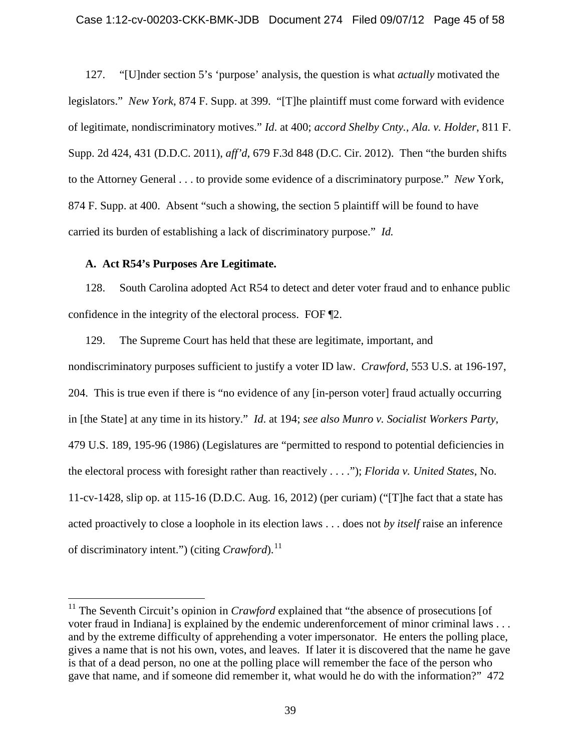127. "[U]nder section 5's 'purpose' analysis, the question is what *actually* motivated the legislators." *New York*, 874 F. Supp. at 399. "[T]he plaintiff must come forward with evidence of legitimate, nondiscriminatory motives." *Id*. at 400; *accord Shelby Cnty., Ala. v. Holder*, 811 F. Supp. 2d 424, 431 (D.D.C. 2011), *aff'd*, 679 F.3d 848 (D.C. Cir. 2012). Then "the burden shifts to the Attorney General . . . to provide some evidence of a discriminatory purpose." *New* York, 874 F. Supp. at 400. Absent "such a showing, the section 5 plaintiff will be found to have carried its burden of establishing a lack of discriminatory purpose." *Id.*

# <span id="page-44-0"></span>**A. Act R54's Purposes Are Legitimate.**

128. South Carolina adopted Act R54 to detect and deter voter fraud and to enhance public confidence in the integrity of the electoral process. FOF ¶2.

129. The Supreme Court has held that these are legitimate, important, and nondiscriminatory purposes sufficient to justify a voter ID law. *Crawford*, 553 U.S. at 196-197, 204. This is true even if there is "no evidence of any [in-person voter] fraud actually occurring in [the State] at any time in its history." *Id*. at 194; *see also Munro v. Socialist Workers Party*, 479 U.S. 189, 195-96 (1986) (Legislatures are "permitted to respond to potential deficiencies in the electoral process with foresight rather than reactively . . . ."); *Florida v. United States*, No. 11-cv-1428, slip op. at 115-16 (D.D.C. Aug. 16, 2012) (per curiam) ("[T]he fact that a state has acted proactively to close a loophole in its election laws . . . does not *by itself* raise an inference of discriminatory intent.") (citing *Crawford*).<sup>[11](#page-44-1)</sup>

<span id="page-44-1"></span><sup>&</sup>lt;sup>11</sup> The Seventh Circuit's opinion in *Crawford* explained that "the absence of prosecutions [of voter fraud in Indiana] is explained by the endemic underenforcement of minor criminal laws . . . and by the extreme difficulty of apprehending a voter impersonator. He enters the polling place, gives a name that is not his own, votes, and leaves. If later it is discovered that the name he gave is that of a dead person, no one at the polling place will remember the face of the person who gave that name, and if someone did remember it, what would he do with the information?" 472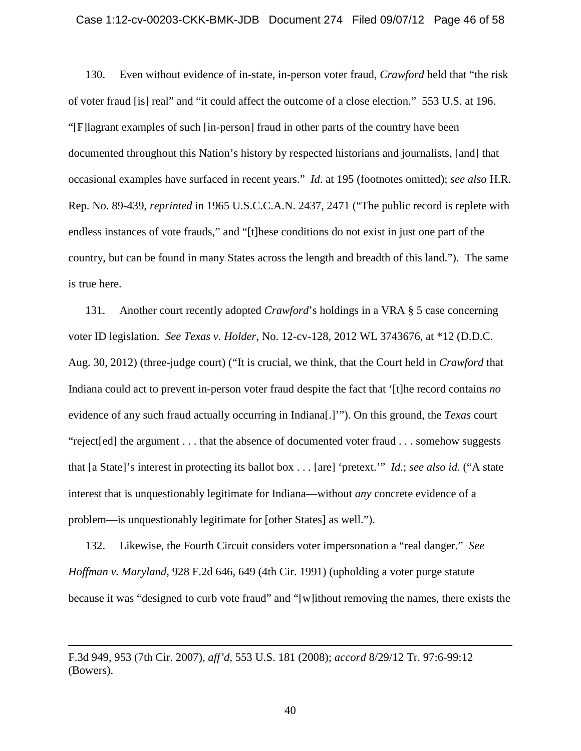#### Case 1:12-cv-00203-CKK-BMK-JDB Document 274 Filed 09/07/12 Page 46 of 58

130. Even without evidence of in-state, in-person voter fraud, *Crawford* held that "the risk of voter fraud [is] real" and "it could affect the outcome of a close election." 553 U.S. at 196. "[F]lagrant examples of such [in-person] fraud in other parts of the country have been documented throughout this Nation's history by respected historians and journalists, [and] that occasional examples have surfaced in recent years." *Id*. at 195 (footnotes omitted); *see also* H.R. Rep. No. 89-439, *reprinted* in 1965 U.S.C.C.A.N. 2437, 2471 ("The public record is replete with endless instances of vote frauds," and "[t]hese conditions do not exist in just one part of the country, but can be found in many States across the length and breadth of this land."). The same is true here.

131. Another court recently adopted *Crawford*'s holdings in a VRA § 5 case concerning voter ID legislation. *See Texas v. Holder*, No. 12-cv-128, 2012 WL 3743676, at \*12 (D.D.C. Aug. 30, 2012) (three-judge court) ("It is crucial, we think, that the Court held in *Crawford* that Indiana could act to prevent in-person voter fraud despite the fact that '[t]he record contains *no* evidence of any such fraud actually occurring in Indiana[.]'"). On this ground, the *Texas* court "reject[ed] the argument . . . that the absence of documented voter fraud . . . somehow suggests that [a State]'s interest in protecting its ballot box . . . [are] 'pretext.'" *Id.*; *see also id.* ("A state interest that is unquestionably legitimate for Indiana—without *any* concrete evidence of a problem—is unquestionably legitimate for [other States] as well.").

132. Likewise, the Fourth Circuit considers voter impersonation a "real danger." *See Hoffman v. Maryland*, 928 F.2d 646, 649 (4th Cir. 1991) (upholding a voter purge statute because it was "designed to curb vote fraud" and "[w]ithout removing the names, there exists the

 $\overline{a}$ 

F.3d 949, 953 (7th Cir. 2007), *aff'd*, 553 U.S. 181 (2008); *accord* 8/29/12 Tr. 97:6-99:12 (Bowers).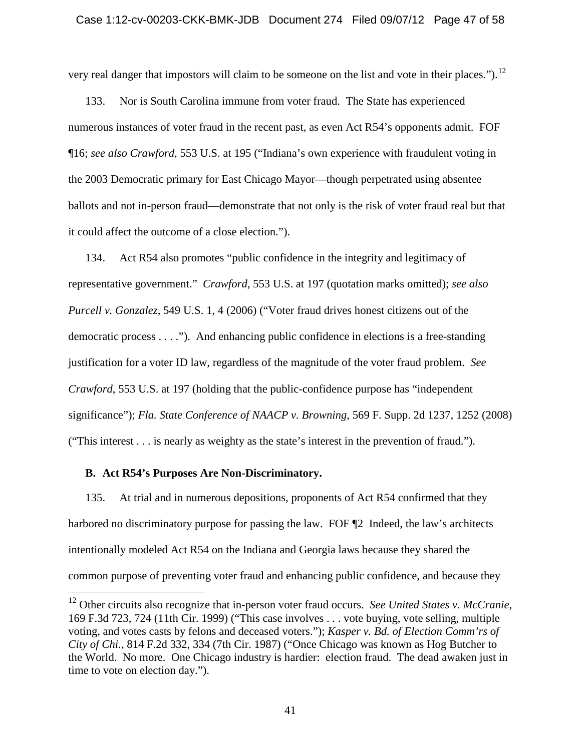# Case 1:12-cv-00203-CKK-BMK-JDB Document 274 Filed 09/07/12 Page 47 of 58

very real danger that impostors will claim to be someone on the list and vote in their places.").<sup>[12](#page-46-1)</sup>

133. Nor is South Carolina immune from voter fraud. The State has experienced numerous instances of voter fraud in the recent past, as even Act R54's opponents admit. FOF ¶16; *see also Crawford*, 553 U.S. at 195 ("Indiana's own experience with fraudulent voting in the 2003 Democratic primary for East Chicago Mayor—though perpetrated using absentee ballots and not in-person fraud—demonstrate that not only is the risk of voter fraud real but that it could affect the outcome of a close election.").

134. Act R54 also promotes "public confidence in the integrity and legitimacy of representative government." *Crawford*, 553 U.S. at 197 (quotation marks omitted); *see also Purcell v. Gonzalez*, 549 U.S. 1, 4 (2006) ("Voter fraud drives honest citizens out of the democratic process . . . ."). And enhancing public confidence in elections is a free-standing justification for a voter ID law, regardless of the magnitude of the voter fraud problem. *See Crawford*, 553 U.S. at 197 (holding that the public-confidence purpose has "independent significance"); *Fla. State Conference of NAACP v. Browning*, 569 F. Supp. 2d 1237, 1252 (2008) ("This interest . . . is nearly as weighty as the state's interest in the prevention of fraud.").

### <span id="page-46-0"></span>**B. Act R54's Purposes Are Non-Discriminatory.**

135. At trial and in numerous depositions, proponents of Act R54 confirmed that they harbored no discriminatory purpose for passing the law. FOF  $\mathbb{Z}$  Indeed, the law's architects intentionally modeled Act R54 on the Indiana and Georgia laws because they shared the common purpose of preventing voter fraud and enhancing public confidence, and because they

<span id="page-46-1"></span> <sup>12</sup> Other circuits also recognize that in-person voter fraud occurs. *See United States v. McCranie*, 169 F.3d 723, 724 (11th Cir. 1999) ("This case involves . . . vote buying, vote selling, multiple voting, and votes casts by felons and deceased voters."); *Kasper v. Bd. of Election Comm'rs of City of Chi.*, 814 F.2d 332, 334 (7th Cir. 1987) ("Once Chicago was known as Hog Butcher to the World. No more. One Chicago industry is hardier: election fraud. The dead awaken just in time to vote on election day.").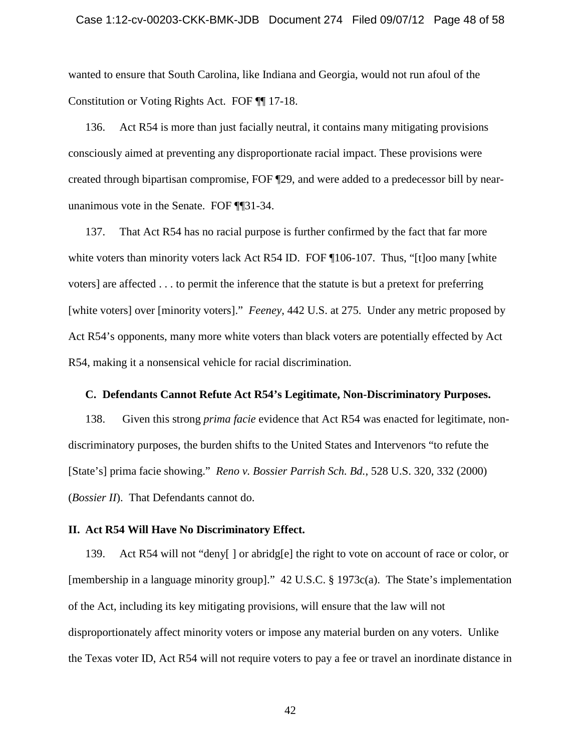### Case 1:12-cv-00203-CKK-BMK-JDB Document 274 Filed 09/07/12 Page 48 of 58

wanted to ensure that South Carolina, like Indiana and Georgia, would not run afoul of the Constitution or Voting Rights Act. FOF ¶¶ 17-18.

136. Act R54 is more than just facially neutral, it contains many mitigating provisions consciously aimed at preventing any disproportionate racial impact. These provisions were created through bipartisan compromise, FOF ¶29, and were added to a predecessor bill by nearunanimous vote in the Senate. FOF ¶¶31-34.

137. That Act R54 has no racial purpose is further confirmed by the fact that far more white voters than minority voters lack Act R54 ID. FOF ¶106-107. Thus, "[t]oo many [white voters] are affected . . . to permit the inference that the statute is but a pretext for preferring [white voters] over [minority voters]." *Feeney*, 442 U.S. at 275. Under any metric proposed by Act R54's opponents, many more white voters than black voters are potentially effected by Act R54, making it a nonsensical vehicle for racial discrimination.

## <span id="page-47-0"></span>**C. Defendants Cannot Refute Act R54's Legitimate, Non-Discriminatory Purposes.**

138. Given this strong *prima facie* evidence that Act R54 was enacted for legitimate, nondiscriminatory purposes, the burden shifts to the United States and Intervenors "to refute the [State's] prima facie showing." *Reno v. Bossier Parrish Sch. Bd.*, 528 U.S. 320, 332 (2000) (*Bossier II*). That Defendants cannot do.

# <span id="page-47-1"></span>**II. Act R54 Will Have No Discriminatory Effect.**

139. Act R54 will not "deny[ ] or abridg[e] the right to vote on account of race or color, or [membership in a language minority group]." 42 U.S.C. § 1973c(a). The State's implementation of the Act, including its key mitigating provisions, will ensure that the law will not disproportionately affect minority voters or impose any material burden on any voters. Unlike the Texas voter ID, Act R54 will not require voters to pay a fee or travel an inordinate distance in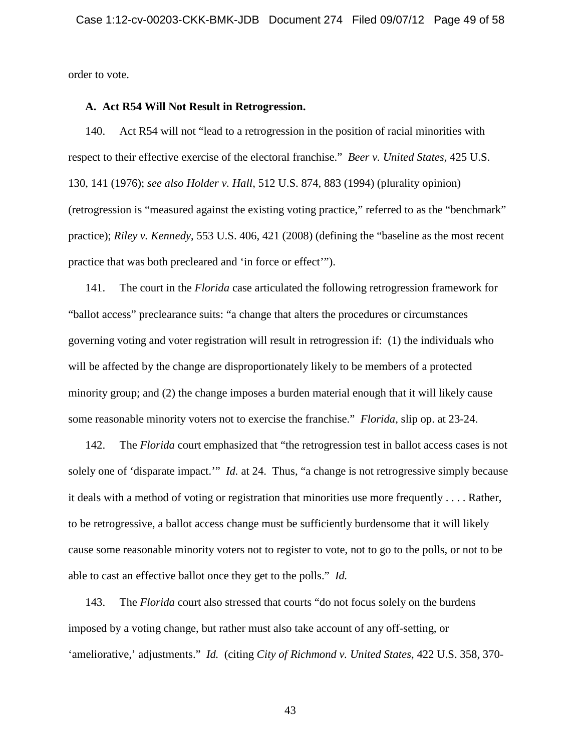order to vote.

#### <span id="page-48-0"></span>**A. Act R54 Will Not Result in Retrogression.**

140. Act R54 will not "lead to a retrogression in the position of racial minorities with respect to their effective exercise of the electoral franchise." *Beer v. United States*, 425 U.S. 130, 141 (1976); *see also Holder v. Hall*, 512 U.S. 874, 883 (1994) (plurality opinion) (retrogression is "measured against the existing voting practice," referred to as the "benchmark" practice); *Riley v. Kennedy*, 553 U.S. 406, 421 (2008) (defining the "baseline as the most recent practice that was both precleared and 'in force or effect'").

141. The court in the *Florida* case articulated the following retrogression framework for "ballot access" preclearance suits: "a change that alters the procedures or circumstances governing voting and voter registration will result in retrogression if: (1) the individuals who will be affected by the change are disproportionately likely to be members of a protected minority group; and (2) the change imposes a burden material enough that it will likely cause some reasonable minority voters not to exercise the franchise." *Florida*, slip op. at 23-24.

142. The *Florida* court emphasized that "the retrogression test in ballot access cases is not solely one of 'disparate impact.'" *Id.* at 24. Thus, "a change is not retrogressive simply because it deals with a method of voting or registration that minorities use more frequently . . . . Rather, to be retrogressive, a ballot access change must be sufficiently burdensome that it will likely cause some reasonable minority voters not to register to vote, not to go to the polls, or not to be able to cast an effective ballot once they get to the polls." *Id.*

143. The *Florida* court also stressed that courts "do not focus solely on the burdens imposed by a voting change, but rather must also take account of any off-setting, or 'ameliorative,' adjustments." *Id.* (citing *City of Richmond v. United States*, 422 U.S. 358, 370-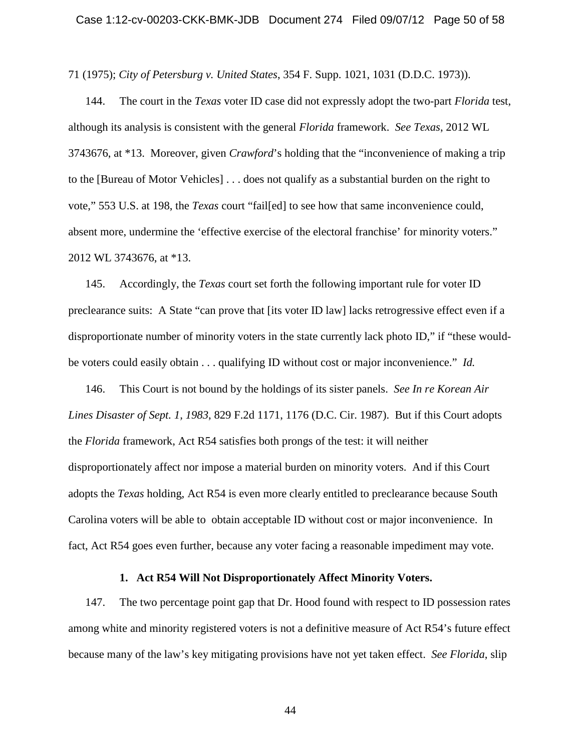71 (1975); *City of Petersburg v. United States*, 354 F. Supp. 1021, 1031 (D.D.C. 1973)).

144. The court in the *Texas* voter ID case did not expressly adopt the two-part *Florida* test, although its analysis is consistent with the general *Florida* framework. *See Texas*, 2012 WL 3743676, at \*13. Moreover, given *Crawford*'s holding that the "inconvenience of making a trip to the [Bureau of Motor Vehicles] . . . does not qualify as a substantial burden on the right to vote," 553 U.S. at 198, the *Texas* court "fail[ed] to see how that same inconvenience could, absent more, undermine the 'effective exercise of the electoral franchise' for minority voters." 2012 WL 3743676, at \*13.

145. Accordingly, the *Texas* court set forth the following important rule for voter ID preclearance suits: A State "can prove that [its voter ID law] lacks retrogressive effect even if a disproportionate number of minority voters in the state currently lack photo ID," if "these wouldbe voters could easily obtain . . . qualifying ID without cost or major inconvenience." *Id.*

146. This Court is not bound by the holdings of its sister panels. *See In re Korean Air Lines Disaster of Sept. 1, 1983*, 829 F.2d 1171, 1176 (D.C. Cir. 1987). But if this Court adopts the *Florida* framework, Act R54 satisfies both prongs of the test: it will neither disproportionately affect nor impose a material burden on minority voters. And if this Court adopts the *Texas* holding, Act R54 is even more clearly entitled to preclearance because South Carolina voters will be able to obtain acceptable ID without cost or major inconvenience. In fact, Act R54 goes even further, because any voter facing a reasonable impediment may vote.

### **1. Act R54 Will Not Disproportionately Affect Minority Voters.**

<span id="page-49-0"></span>147. The two percentage point gap that Dr. Hood found with respect to ID possession rates among white and minority registered voters is not a definitive measure of Act R54's future effect because many of the law's key mitigating provisions have not yet taken effect. *See Florida*, slip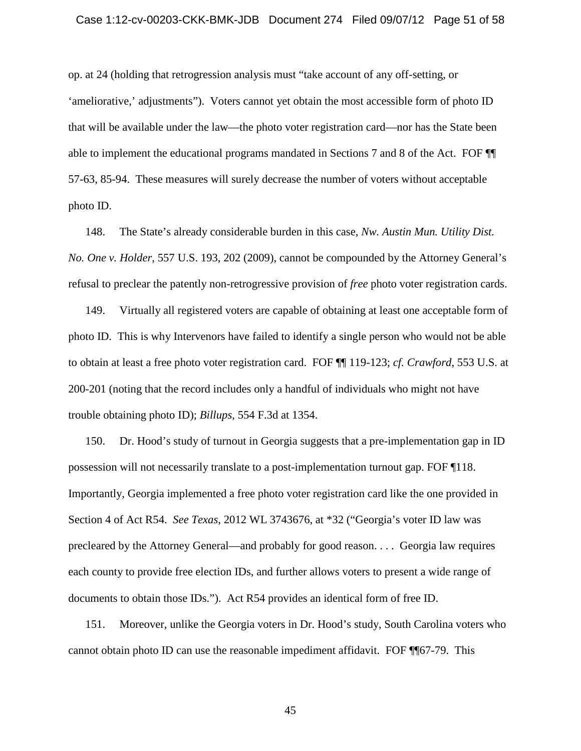#### Case 1:12-cv-00203-CKK-BMK-JDB Document 274 Filed 09/07/12 Page 51 of 58

op. at 24 (holding that retrogression analysis must "take account of any off-setting, or 'ameliorative,' adjustments"). Voters cannot yet obtain the most accessible form of photo ID that will be available under the law—the photo voter registration card—nor has the State been able to implement the educational programs mandated in Sections 7 and 8 of the Act. FOF ¶¶ 57-63, 85-94. These measures will surely decrease the number of voters without acceptable photo ID.

148. The State's already considerable burden in this case, *Nw. Austin Mun. Utility Dist. No. One v. Holder*, 557 U.S. 193, 202 (2009), cannot be compounded by the Attorney General's refusal to preclear the patently non-retrogressive provision of *free* photo voter registration cards.

149. Virtually all registered voters are capable of obtaining at least one acceptable form of photo ID. This is why Intervenors have failed to identify a single person who would not be able to obtain at least a free photo voter registration card. FOF ¶¶ 119-123; *cf. Crawford*, 553 U.S. at 200-201 (noting that the record includes only a handful of individuals who might not have trouble obtaining photo ID); *Billups*, 554 F.3d at 1354.

150. Dr. Hood's study of turnout in Georgia suggests that a pre-implementation gap in ID possession will not necessarily translate to a post-implementation turnout gap. FOF ¶118. Importantly, Georgia implemented a free photo voter registration card like the one provided in Section 4 of Act R54. *See Texas*, 2012 WL 3743676, at \*32 ("Georgia's voter ID law was precleared by the Attorney General—and probably for good reason. . . . Georgia law requires each county to provide free election IDs, and further allows voters to present a wide range of documents to obtain those IDs."). Act R54 provides an identical form of free ID.

151. Moreover, unlike the Georgia voters in Dr. Hood's study, South Carolina voters who cannot obtain photo ID can use the reasonable impediment affidavit. FOF ¶¶67-79. This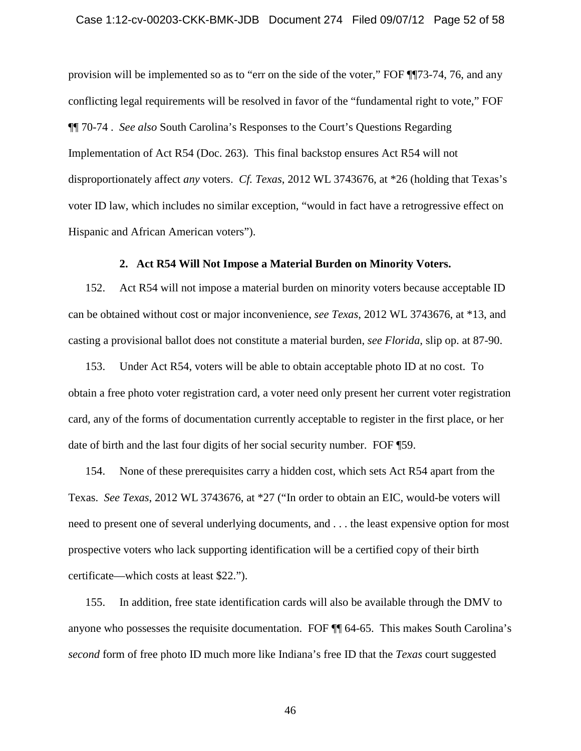### Case 1:12-cv-00203-CKK-BMK-JDB Document 274 Filed 09/07/12 Page 52 of 58

provision will be implemented so as to "err on the side of the voter," FOF ¶¶73-74, 76, and any conflicting legal requirements will be resolved in favor of the "fundamental right to vote," FOF ¶¶ 70-74 . *See also* South Carolina's Responses to the Court's Questions Regarding Implementation of Act R54 (Doc. 263). This final backstop ensures Act R54 will not disproportionately affect *any* voters. *Cf. Texas*, 2012 WL 3743676, at \*26 (holding that Texas's voter ID law, which includes no similar exception, "would in fact have a retrogressive effect on Hispanic and African American voters").

# **2. Act R54 Will Not Impose a Material Burden on Minority Voters.**

<span id="page-51-0"></span>152. Act R54 will not impose a material burden on minority voters because acceptable ID can be obtained without cost or major inconvenience, *see Texas*, 2012 WL 3743676, at \*13, and casting a provisional ballot does not constitute a material burden, *see Florida*, slip op. at 87-90.

153. Under Act R54, voters will be able to obtain acceptable photo ID at no cost. To obtain a free photo voter registration card, a voter need only present her current voter registration card, any of the forms of documentation currently acceptable to register in the first place, or her date of birth and the last four digits of her social security number. FOF ¶59.

154. None of these prerequisites carry a hidden cost, which sets Act R54 apart from the Texas. *See Texas*, 2012 WL 3743676, at \*27 ("In order to obtain an EIC, would-be voters will need to present one of several underlying documents, and . . . the least expensive option for most prospective voters who lack supporting identification will be a certified copy of their birth certificate—which costs at least \$22.").

155. In addition, free state identification cards will also be available through the DMV to anyone who possesses the requisite documentation. FOF ¶¶ 64-65. This makes South Carolina's *second* form of free photo ID much more like Indiana's free ID that the *Texas* court suggested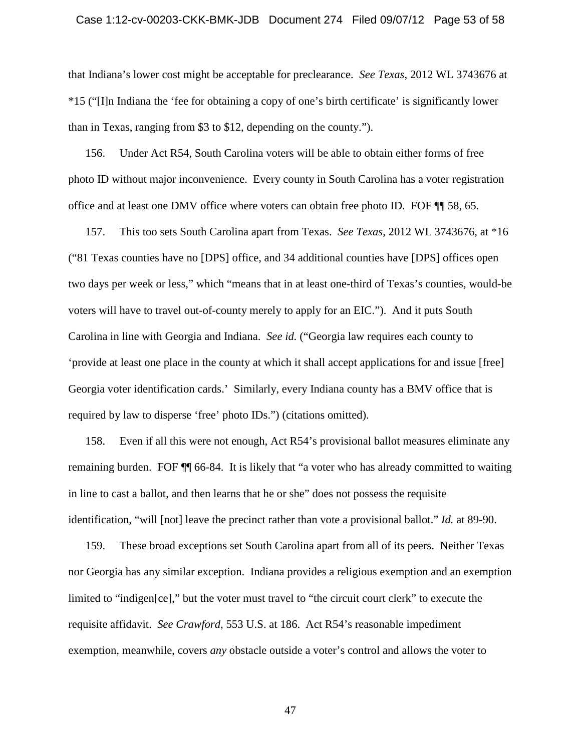#### Case 1:12-cv-00203-CKK-BMK-JDB Document 274 Filed 09/07/12 Page 53 of 58

that Indiana's lower cost might be acceptable for preclearance. *See Texas*, 2012 WL 3743676 at \*15 ("[I]n Indiana the 'fee for obtaining a copy of one's birth certificate' is significantly lower than in Texas, ranging from \$3 to \$12, depending on the county.").

156. Under Act R54, South Carolina voters will be able to obtain either forms of free photo ID without major inconvenience. Every county in South Carolina has a voter registration office and at least one DMV office where voters can obtain free photo ID. FOF ¶¶ 58, 65.

157. This too sets South Carolina apart from Texas. *See Texas*, 2012 WL 3743676, at \*16 ("81 Texas counties have no [DPS] office, and 34 additional counties have [DPS] offices open two days per week or less," which "means that in at least one-third of Texas's counties, would-be voters will have to travel out-of-county merely to apply for an EIC."). And it puts South Carolina in line with Georgia and Indiana. *See id.* ("Georgia law requires each county to 'provide at least one place in the county at which it shall accept applications for and issue [free] Georgia voter identification cards.' Similarly, every Indiana county has a BMV office that is required by law to disperse 'free' photo IDs.") (citations omitted).

158. Even if all this were not enough, Act R54's provisional ballot measures eliminate any remaining burden. FOF ¶¶ 66-84. It is likely that "a voter who has already committed to waiting in line to cast a ballot, and then learns that he or she" does not possess the requisite identification, "will [not] leave the precinct rather than vote a provisional ballot." *Id.* at 89-90.

159. These broad exceptions set South Carolina apart from all of its peers. Neither Texas nor Georgia has any similar exception. Indiana provides a religious exemption and an exemption limited to "indigen[ce]," but the voter must travel to "the circuit court clerk" to execute the requisite affidavit. *See Crawford*, 553 U.S. at 186. Act R54's reasonable impediment exemption, meanwhile, covers *any* obstacle outside a voter's control and allows the voter to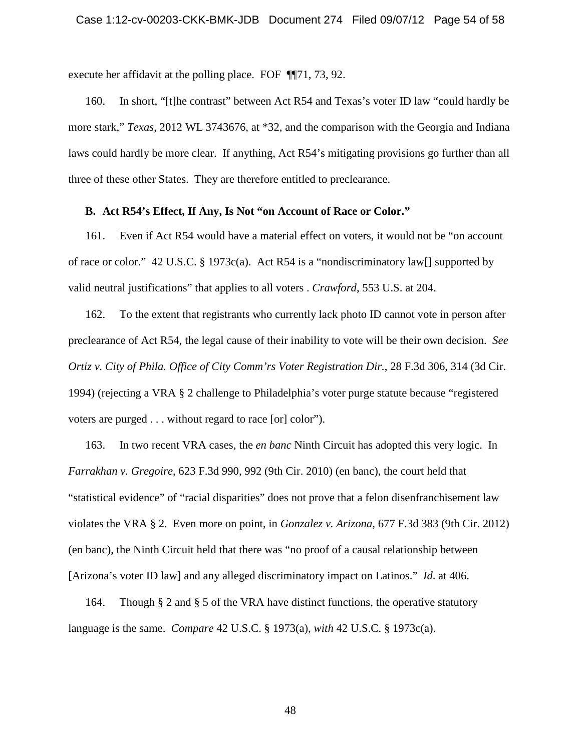execute her affidavit at the polling place. FOF ¶¶71, 73, 92.

160. In short, "[t]he contrast" between Act R54 and Texas's voter ID law "could hardly be more stark," *Texas*, 2012 WL 3743676, at \*32, and the comparison with the Georgia and Indiana laws could hardly be more clear. If anything, Act R54's mitigating provisions go further than all three of these other States. They are therefore entitled to preclearance.

## <span id="page-53-0"></span>**B. Act R54's Effect, If Any, Is Not "on Account of Race or Color."**

161. Even if Act R54 would have a material effect on voters, it would not be "on account of race or color." 42 U.S.C. § 1973c(a). Act R54 is a "nondiscriminatory law[] supported by valid neutral justifications" that applies to all voters . *Crawford*, 553 U.S. at 204.

162. To the extent that registrants who currently lack photo ID cannot vote in person after preclearance of Act R54, the legal cause of their inability to vote will be their own decision. *See Ortiz v. City of Phila. Office of City Comm'rs Voter Registration Dir.*, 28 F.3d 306, 314 (3d Cir. 1994) (rejecting a VRA § 2 challenge to Philadelphia's voter purge statute because "registered voters are purged . . . without regard to race [or] color").

163. In two recent VRA cases, the *en banc* Ninth Circuit has adopted this very logic. In *Farrakhan v. Gregoire*, 623 F.3d 990, 992 (9th Cir. 2010) (en banc), the court held that "statistical evidence" of "racial disparities" does not prove that a felon disenfranchisement law violates the VRA § 2. Even more on point, in *Gonzalez v. Arizona*, 677 F.3d 383 (9th Cir. 2012) (en banc), the Ninth Circuit held that there was "no proof of a causal relationship between [Arizona's voter ID law] and any alleged discriminatory impact on Latinos." *Id*. at 406.

164. Though § 2 and § 5 of the VRA have distinct functions, the operative statutory language is the same. *Compare* 42 U.S.C. § 1973(a), *with* 42 U.S.C. § 1973c(a).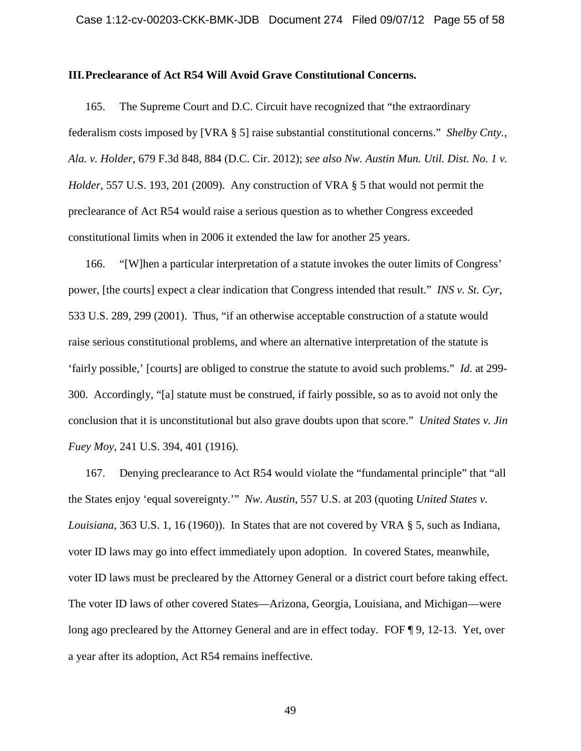### <span id="page-54-0"></span>**III.Preclearance of Act R54 Will Avoid Grave Constitutional Concerns.**

165. The Supreme Court and D.C. Circuit have recognized that "the extraordinary federalism costs imposed by [VRA § 5] raise substantial constitutional concerns." *Shelby Cnty., Ala. v. Holder*, 679 F.3d 848, 884 (D.C. Cir. 2012); *see also Nw. Austin Mun. Util. Dist. No. 1 v. Holder*, 557 U.S. 193, 201 (2009). Any construction of VRA § 5 that would not permit the preclearance of Act R54 would raise a serious question as to whether Congress exceeded constitutional limits when in 2006 it extended the law for another 25 years.

166. "[W]hen a particular interpretation of a statute invokes the outer limits of Congress' power, [the courts] expect a clear indication that Congress intended that result." *INS v. St. Cyr*, 533 U.S. 289, 299 (2001). Thus, "if an otherwise acceptable construction of a statute would raise serious constitutional problems, and where an alternative interpretation of the statute is 'fairly possible,' [courts] are obliged to construe the statute to avoid such problems." *Id.* at 299- 300. Accordingly, "[a] statute must be construed, if fairly possible, so as to avoid not only the conclusion that it is unconstitutional but also grave doubts upon that score." *United States v. Jin Fuey Moy*, 241 U.S. 394, 401 (1916).

167. Denying preclearance to Act R54 would violate the "fundamental principle" that "all the States enjoy 'equal sovereignty.'" *Nw. Austin*, 557 U.S. at 203 (quoting *United States v. Louisiana*, 363 U.S. 1, 16 (1960)). In States that are not covered by VRA § 5, such as Indiana, voter ID laws may go into effect immediately upon adoption. In covered States, meanwhile, voter ID laws must be precleared by the Attorney General or a district court before taking effect. The voter ID laws of other covered States—Arizona, Georgia, Louisiana, and Michigan—were long ago precleared by the Attorney General and are in effect today. FOF ¶ 9, 12-13. Yet, over a year after its adoption, Act R54 remains ineffective.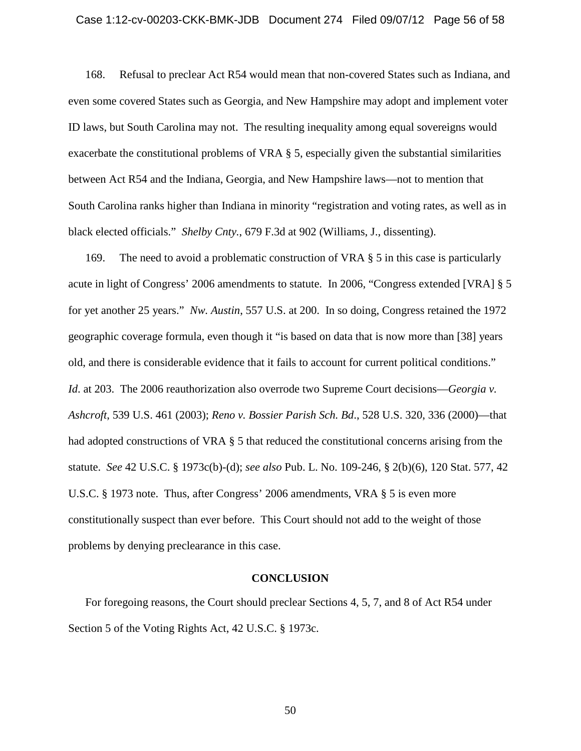# Case 1:12-cv-00203-CKK-BMK-JDB Document 274 Filed 09/07/12 Page 56 of 58

168. Refusal to preclear Act R54 would mean that non-covered States such as Indiana, and even some covered States such as Georgia, and New Hampshire may adopt and implement voter ID laws, but South Carolina may not. The resulting inequality among equal sovereigns would exacerbate the constitutional problems of VRA § 5, especially given the substantial similarities between Act R54 and the Indiana, Georgia, and New Hampshire laws—not to mention that South Carolina ranks higher than Indiana in minority "registration and voting rates, as well as in black elected officials." *Shelby Cnty.*, 679 F.3d at 902 (Williams, J., dissenting).

169. The need to avoid a problematic construction of VRA  $\S$  5 in this case is particularly acute in light of Congress' 2006 amendments to statute. In 2006, "Congress extended [VRA] § 5 for yet another 25 years." *Nw. Austin*, 557 U.S. at 200. In so doing, Congress retained the 1972 geographic coverage formula, even though it "is based on data that is now more than [38] years old, and there is considerable evidence that it fails to account for current political conditions." *Id*. at 203. The 2006 reauthorization also overrode two Supreme Court decisions—*Georgia v. Ashcroft*, 539 U.S. 461 (2003); *Reno v. Bossier Parish Sch. Bd*., 528 U.S. 320, 336 (2000)—that had adopted constructions of VRA § 5 that reduced the constitutional concerns arising from the statute. *See* 42 U.S.C. § 1973c(b)-(d); *see also* Pub. L. No. 109-246, § 2(b)(6), 120 Stat. 577, 42 U.S.C. § 1973 note. Thus, after Congress' 2006 amendments, VRA § 5 is even more constitutionally suspect than ever before. This Court should not add to the weight of those problems by denying preclearance in this case.

### **CONCLUSION**

<span id="page-55-0"></span>For foregoing reasons, the Court should preclear Sections 4, 5, 7, and 8 of Act R54 under Section 5 of the Voting Rights Act, 42 U.S.C. § 1973c.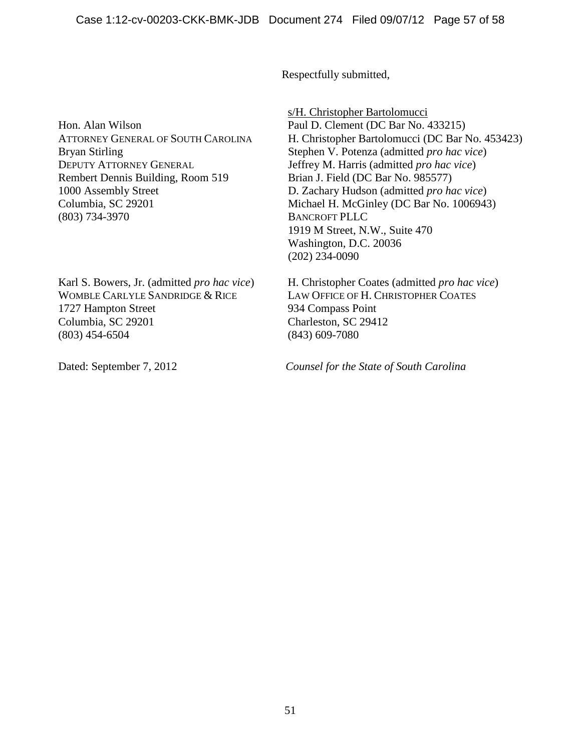Respectfully submitted,

Hon. Alan Wilson ATTORNEY GENERAL OF SOUTH CAROLINA Bryan Stirling DEPUTY ATTORNEY GENERAL Rembert Dennis Building, Room 519 1000 Assembly Street Columbia, SC 29201 (803) 734-3970

Karl S. Bowers, Jr. (admitted *pro hac vice*) WOMBLE CARLYLE SANDRIDGE & RICE 1727 Hampton Street Columbia, SC 29201 (803) 454-6504

s/H. Christopher Bartolomucci Paul D. Clement (DC Bar No. 433215) H. Christopher Bartolomucci (DC Bar No. 453423) Stephen V. Potenza (admitted *pro hac vice*) Jeffrey M. Harris (admitted *pro hac vice*) Brian J. Field (DC Bar No. 985577) D. Zachary Hudson (admitted *pro hac vice*) Michael H. McGinley (DC Bar No. 1006943) BANCROFT PLLC 1919 M Street, N.W., Suite 470 Washington, D.C. 20036 (202) 234-0090

H. Christopher Coates (admitted *pro hac vice*) LAW OFFICE OF H. CHRISTOPHER COATES 934 Compass Point Charleston, SC 29412 (843) 609-7080

Dated: September 7, 2012 *Counsel for the State of South Carolina*